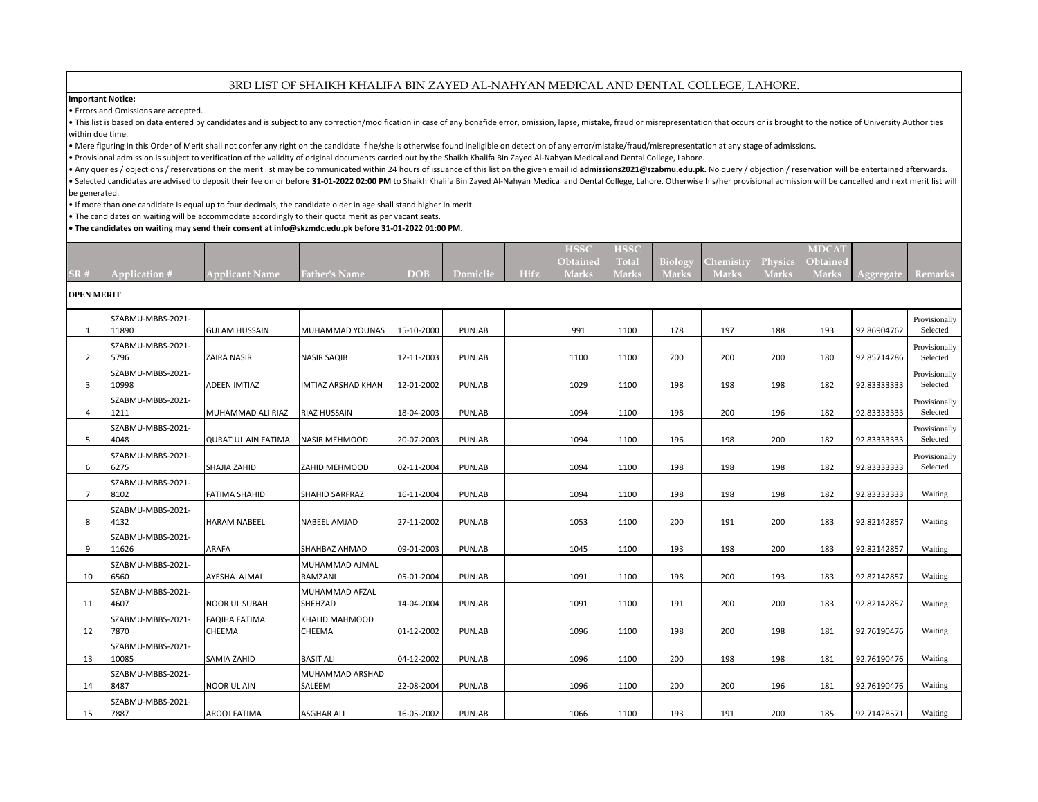# 3RD LIST OF SHAIKH KHALIFA BIN ZAYED AL-NAHYAN MEDICAL AND DENTAL COLLEGE, LAHORE.

### **Important Notice:**

• Errors and Omissions are accepted.

. This list is based on data entered by candidates and is subject to any correction/modification in case of any bonafide error, omission, lapse, mistake, fraud or misrepresentation that occurs or is brought to the notice o within due time.

• Mere figuring in this Order of Merit shall not confer any right on the candidate if he/she is otherwise found ineligible on detection of any error/mistake/fraud/misrepresentation at any stage of admissions.

• Provisional admission is subject to verification of the validity of original documents carried out by the Shaikh Khalifa Bin Zayed Al-Nahyan Medical and Dental College, Lahore.

• Any queries / objections / reservations on the merit list may be communicated within 24 hours of issuance of this list on the given email id admissions2021@szabmu.edu.pk. No query / objection / reservation will be entert . Selected candidates are advised to deposit their fee on or before 31-01-2022 02:00 PM to Shaikh Khalifa Bin Zayed Al-Nahyan Medical and Dental College, Lahore. Otherwise his/her provisional admission will be cancelled an be generated.

• If more than one candidate is equal up to four decimals, the candidate older in age shall stand higher in merit.

• The candidates on waiting will be accommodate accordingly to their quota merit as per vacant seats.

#### **• The candidates on waiting may send their consent at info@skzmdc.edu.pk before 31-01-2022 01:00 PM.**

|     |               |                       |                      |                |               | <b>HSSC</b> | <b>HSSC</b> |                                                          | <b>MDCAT</b> |                   |  |
|-----|---------------|-----------------------|----------------------|----------------|---------------|-------------|-------------|----------------------------------------------------------|--------------|-------------------|--|
|     |               |                       |                      |                |               |             |             | <b>Obtained</b> Total Biology Chemistry Physics Obtained |              |                   |  |
| SR# | Application # | <b>Applicant Name</b> | <b>Father's Name</b> | DOB <b>DOB</b> | Domiclie Hifz |             |             | Narks Marks Marks Marks Marks Marks Marks                |              | Aggregate Remarks |  |

## **OPEN MERIT**

| 1              | SZABMU-MBBS-2021-<br>11890 | <b>GULAM HUSSAIN</b>                  | MUHAMMAD YOUNAS                        | 15-10-2000 | <b>PUNJAB</b> | 991  | 1100 | 178 | 197 | 188 | 193 | 92.86904762 | Provisionally<br>Selected |
|----------------|----------------------------|---------------------------------------|----------------------------------------|------------|---------------|------|------|-----|-----|-----|-----|-------------|---------------------------|
| 2              | SZABMU-MBBS-2021-<br>5796  | <b>ZAIRA NASIR</b>                    | <b>NASIR SAQIB</b>                     | 12-11-2003 | <b>PUNJAB</b> | 1100 | 1100 | 200 | 200 | 200 | 180 | 92.85714286 | Provisionally<br>Selected |
| 3              | SZABMU-MBBS-2021-<br>10998 | <b>ADEEN IMTIAZ</b>                   | <b>IMTIAZ ARSHAD KHAN</b>              | 12-01-2002 | PUNJAB        | 1029 | 1100 | 198 | 198 | 198 | 182 | 92.83333333 | Provisionally<br>Selected |
| $\overline{4}$ | SZABMU-MBBS-2021-<br>1211  | MUHAMMAD ALI RIAZ                     | <b>RIAZ HUSSAIN</b>                    | 18-04-2003 | <b>PUNJAB</b> | 1094 | 1100 | 198 | 200 | 196 | 182 | 92.83333333 | Provisionally<br>Selected |
| 5              | SZABMU-MBBS-2021-<br>4048  | <b>QURAT UL AIN FATIMA</b>            | NASIR MEHMOOD                          | 20-07-2003 | <b>PUNJAB</b> | 1094 | 1100 | 196 | 198 | 200 | 182 | 92.83333333 | Provisionally<br>Selected |
| 6              | SZABMU-MBBS-2021-<br>6275  | SHAJIA ZAHID                          | <b>ZAHID MEHMOOD</b>                   | 02-11-2004 | <b>PUNJAB</b> | 1094 | 1100 | 198 | 198 | 198 | 182 | 92.83333333 | Provisionally<br>Selected |
| $\overline{7}$ | SZABMU-MBBS-2021-<br>8102  | <b>FATIMA SHAHID</b>                  | <b>SHAHID SARFRAZ</b>                  | 16-11-2004 | <b>PUNJAB</b> | 1094 | 1100 | 198 | 198 | 198 | 182 | 92.83333333 | Waiting                   |
| 8              | SZABMU-MBBS-2021-<br>4132  | <b>HARAM NABEEL</b>                   | <b>NABEEL AMJAD</b>                    | 27-11-2002 | <b>PUNJAB</b> | 1053 | 1100 | 200 | 191 | 200 | 183 | 92.82142857 | Waiting                   |
| 9              | SZABMU-MBBS-2021-<br>11626 | <b>ARAFA</b>                          | <b>SHAHBAZ AHMAD</b>                   | 09-01-2003 | <b>PUNJAB</b> | 1045 | 1100 | 193 | 198 | 200 | 183 | 92.82142857 | Waiting                   |
| 10             | SZABMU-MBBS-2021-<br>6560  | AYESHA AJMAL                          | MUHAMMAD AJMAL<br>RAMZANI              | 05-01-2004 | <b>PUNJAB</b> | 1091 | 1100 | 198 | 200 | 193 | 183 | 92.82142857 | Waiting                   |
| 11             | SZABMU-MBBS-2021-<br>4607  | <b>NOOR UL SUBAH</b>                  | MUHAMMAD AFZAL<br>SHEHZAD              | 14-04-2004 | <b>PUNJAB</b> | 1091 | 1100 | 191 | 200 | 200 | 183 | 92.82142857 | Waiting                   |
| 12             | SZABMU-MBBS-2021-<br>7870  | <b>FAQIHA FATIMA</b><br><b>CHEEMA</b> | <b>KHALID MAHMOOD</b><br><b>CHEEMA</b> | 01-12-2002 | <b>PUNJAB</b> | 1096 | 1100 | 198 | 200 | 198 | 181 | 92.76190476 | Waiting                   |
| 13             | SZABMU-MBBS-2021-<br>10085 | <b>SAMIA ZAHID</b>                    | <b>BASIT ALI</b>                       | 04-12-2002 | <b>PUNJAB</b> | 1096 | 1100 | 200 | 198 | 198 | 181 | 92.76190476 | Waiting                   |
| 14             | SZABMU-MBBS-2021-<br>8487  | <b>NOOR UL AIN</b>                    | MUHAMMAD ARSHAD<br>SALEEM              | 22-08-2004 | <b>PUNJAB</b> | 1096 | 1100 | 200 | 200 | 196 | 181 | 92.76190476 | Waiting                   |
| 15             | SZABMU-MBBS-2021-<br>7887  | <b>AROOJ FATIMA</b>                   | <b>ASGHAR ALI</b>                      | 16-05-2002 | <b>PUNJAB</b> | 1066 | 1100 | 193 | 191 | 200 | 185 | 92.71428571 | Waiting                   |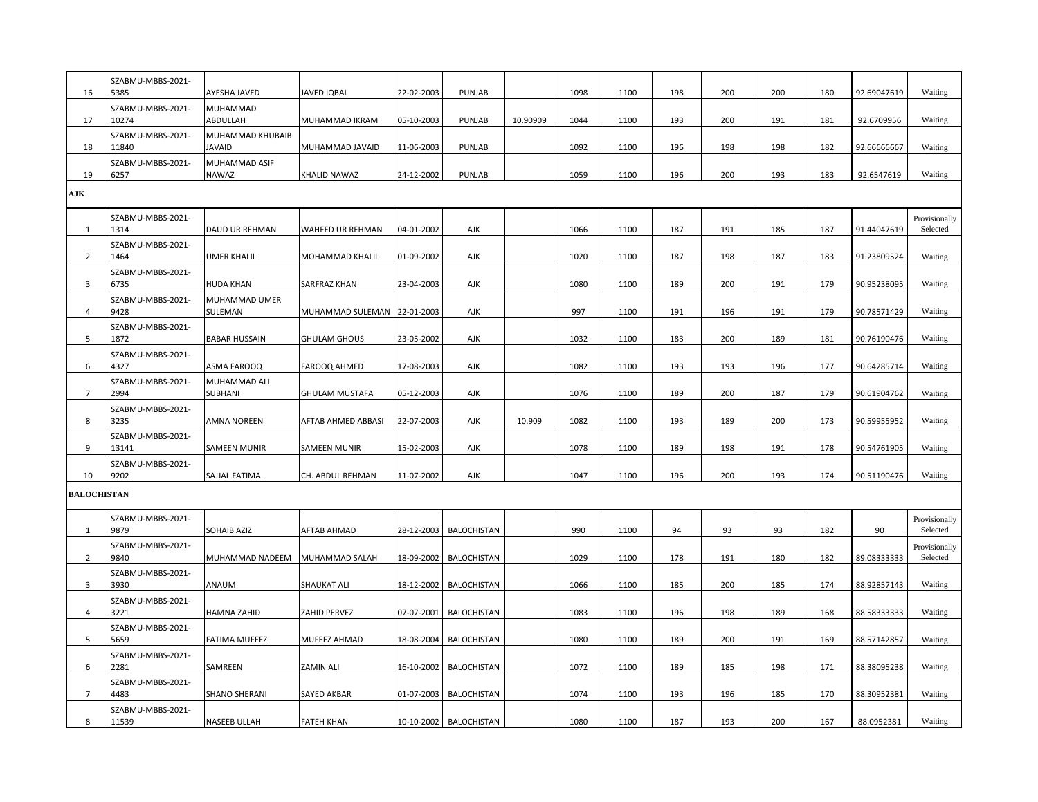| 16                 | SZABMU-MBBS-2021-<br>5385  | AYESHA JAVED                      | JAVED IQBAL                   | 22-02-2003 | PUNJAB                   |          | 1098 | 1100 | 198 | 200 | 200 | 180 | 92.69047619 | Waiting                   |
|--------------------|----------------------------|-----------------------------------|-------------------------------|------------|--------------------------|----------|------|------|-----|-----|-----|-----|-------------|---------------------------|
| 17                 | SZABMU-MBBS-2021-<br>10274 | MUHAMMAD<br>ABDULLAH              | MUHAMMAD IKRAM                | 05-10-2003 | PUNJAB                   | 10.90909 | 1044 | 1100 | 193 | 200 | 191 | 181 | 92.6709956  | Waiting                   |
| 18                 | SZABMU-MBBS-2021-<br>11840 | MUHAMMAD KHUBAIB<br><b>JAVAID</b> | MUHAMMAD JAVAID               | 11-06-2003 | PUNJAB                   |          | 1092 | 1100 | 196 | 198 | 198 | 182 | 92.66666667 | Waiting                   |
| 19                 | SZABMU-MBBS-2021-<br>6257  | MUHAMMAD ASIF<br>NAWAZ            | KHALID NAWAZ                  | 24-12-2002 | PUNJAB                   |          | 1059 | 1100 | 196 | 200 | 193 | 183 | 92.6547619  | Waiting                   |
| AJK                |                            |                                   |                               |            |                          |          |      |      |     |     |     |     |             |                           |
| 1                  | SZABMU-MBBS-2021-<br>1314  | <b>DAUD UR REHMAN</b>             | WAHEED UR REHMAN              | 04-01-2002 | AJK                      |          | 1066 | 1100 | 187 | 191 | 185 | 187 | 91.44047619 | Provisionally<br>Selected |
| $\overline{2}$     | SZABMU-MBBS-2021-<br>1464  | <b>UMER KHALIL</b>                | MOHAMMAD KHALIL               | 01-09-2002 | AJK                      |          | 1020 | 1100 | 187 | 198 | 187 | 183 | 91.23809524 | Waiting                   |
| 3                  | SZABMU-MBBS-2021-<br>6735  | <b>HUDA KHAN</b>                  | SARFRAZ KHAN                  | 23-04-2003 | AJK                      |          | 1080 | 1100 | 189 | 200 | 191 | 179 | 90.95238095 | Waiting                   |
| 4                  | SZABMU-MBBS-2021-<br>9428  | MUHAMMAD UMER<br>SULEMAN          | MUHAMMAD SULEMAN   22-01-2003 |            | AJK                      |          | 997  | 1100 | 191 | 196 | 191 | 179 | 90.78571429 | Waiting                   |
| 5                  | SZABMU-MBBS-2021-<br>1872  | <b>BABAR HUSSAIN</b>              | GHULAM GHOUS                  | 23-05-2002 | AJK                      |          | 1032 | 1100 | 183 | 200 | 189 | 181 | 90.76190476 | Waiting                   |
| 6                  | SZABMU-MBBS-2021-<br>4327  | ASMA FAROOQ                       | FAROOQ AHMED                  | 17-08-2003 | AJK                      |          | 1082 | 1100 | 193 | 193 | 196 | 177 | 90.64285714 | Waiting                   |
| $\overline{7}$     | SZABMU-MBBS-2021-<br>2994  | MUHAMMAD ALI<br>SUBHANI           | GHULAM MUSTAFA                | 05-12-2003 | AJK                      |          | 1076 | 1100 | 189 | 200 | 187 | 179 | 90.61904762 | Waiting                   |
| 8                  | SZABMU-MBBS-2021-<br>3235  | <b>AMNA NOREEN</b>                | AFTAB AHMED ABBASI            | 22-07-2003 | AJK                      | 10.909   | 1082 | 1100 | 193 | 189 | 200 | 173 | 90.59955952 | Waiting                   |
| 9                  | SZABMU-MBBS-2021-<br>13141 | SAMEEN MUNIR                      | SAMEEN MUNIR                  | 15-02-2003 | AJK                      |          | 1078 | 1100 | 189 | 198 | 191 | 178 | 90.54761905 | Waiting                   |
| 10                 | SZABMU-MBBS-2021-<br>9202  | SAJJAL FATIMA                     | CH. ABDUL REHMAN              | 11-07-2002 | AJK                      |          | 1047 | 1100 | 196 | 200 | 193 | 174 | 90.51190476 | Waiting                   |
| <b>BALOCHISTAN</b> |                            |                                   |                               |            |                          |          |      |      |     |     |     |     |             |                           |
| 1                  | SZABMU-MBBS-2021-<br>9879  | SOHAIB AZIZ                       | AFTAB AHMAD                   | 28-12-2003 | <b>BALOCHISTAN</b>       |          | 990  | 1100 | 94  | 93  | 93  | 182 | 90          | Provisionally<br>Selected |
| $\overline{2}$     | SZABMU-MBBS-2021-<br>9840  | MUHAMMAD NADEEM                   | MUHAMMAD SALAH                | 18-09-2002 | <b>BALOCHISTAN</b>       |          | 1029 | 1100 | 178 | 191 | 180 | 182 | 89.08333333 | Provisionally<br>Selected |
| 3                  | SZABMU-MBBS-2021-<br>3930  | ANAUM                             | SHAUKAT ALI                   | 18-12-2002 | <b>BALOCHISTAN</b>       |          | 1066 | 1100 | 185 | 200 | 185 | 174 | 88.92857143 | Waiting                   |
| 4                  | SZABMU-MBBS-2021-<br>3221  | HAMNA ZAHID                       | ZAHID PERVEZ                  | 07-07-2001 | <b>BALOCHISTAN</b>       |          | 1083 | 1100 | 196 | 198 | 189 | 168 | 88.58333333 | Waiting                   |
| 5                  | SZABMU-MBBS-2021-<br>5659  | FATIMA MUFEEZ                     | MUFEEZ AHMAD                  | 18-08-2004 | <b>BALOCHISTAN</b>       |          | 1080 | 1100 | 189 | 200 | 191 | 169 | 88.57142857 | Waiting                   |
| 6                  | SZABMU-MBBS-2021-<br>2281  | SAMREEN                           | ZAMIN ALI                     | 16-10-2002 | <b>BALOCHISTAN</b>       |          | 1072 | 1100 | 189 | 185 | 198 | 171 | 88.38095238 | Waiting                   |
| $\overline{7}$     | SZABMU-MBBS-2021-<br>4483  | SHANO SHERANI                     | SAYED AKBAR                   | 01-07-2003 | <b>BALOCHISTAN</b>       |          | 1074 | 1100 | 193 | 196 | 185 | 170 | 88.30952381 | Waiting                   |
|                    | SZABMU-MBBS-2021-          |                                   |                               |            |                          |          |      |      |     |     |     |     |             |                           |
| 8                  | 11539                      | <b>NASEEB ULLAH</b>               | <b>FATEH KHAN</b>             |            | 10-10-2002   BALOCHISTAN |          | 1080 | 1100 | 187 | 193 | 200 | 167 | 88.0952381  | Waiting                   |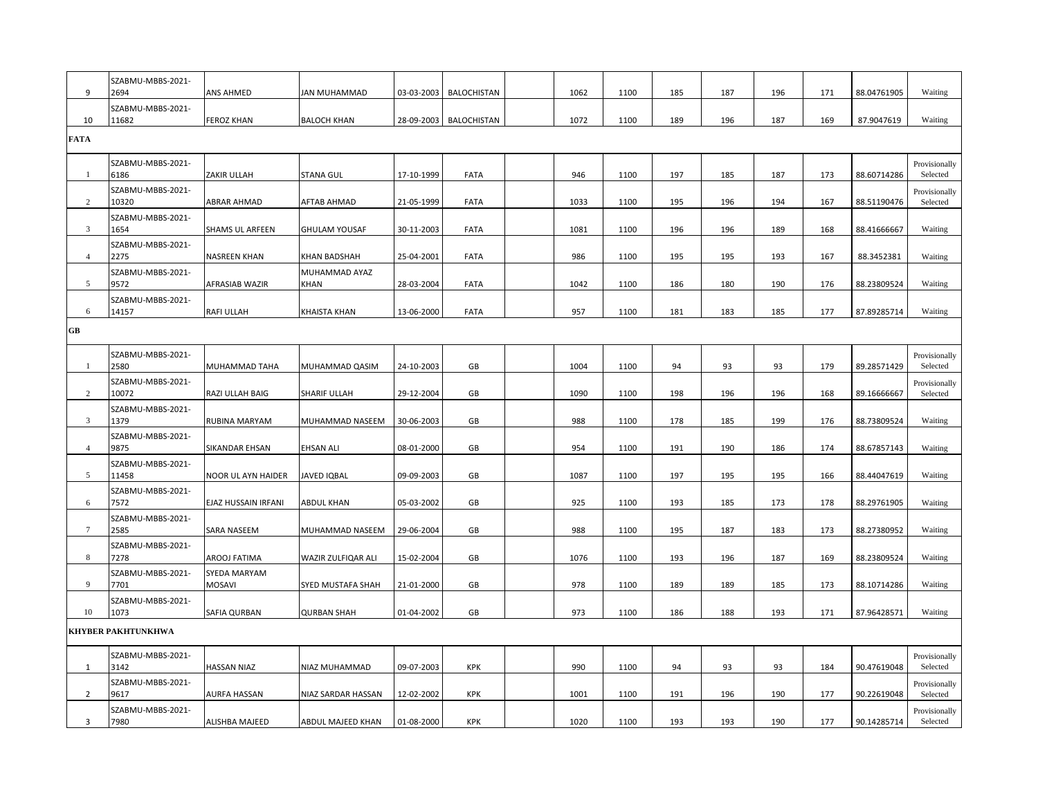| 9                 | SZABMU-MBBS-2021-<br>2694  | ANS AHMED                     | JAN MUHAMMAD          | 03-03-2003 | <b>BALOCHISTAN</b> | 1062 | 1100 | 185 | 187 | 196 | 171 | 88.04761905 | Waiting                   |
|-------------------|----------------------------|-------------------------------|-----------------------|------------|--------------------|------|------|-----|-----|-----|-----|-------------|---------------------------|
|                   | SZABMU-MBBS-2021-          |                               |                       |            |                    |      |      |     |     |     |     |             |                           |
| 10<br><b>FATA</b> | 11682                      | <b>FEROZ KHAN</b>             | <b>BALOCH KHAN</b>    | 28-09-2003 | BALOCHISTAN        | 1072 | 1100 | 189 | 196 | 187 | 169 | 87.9047619  | Waiting                   |
|                   |                            |                               |                       |            |                    |      |      |     |     |     |     |             |                           |
| $\mathbf{1}$      | SZABMU-MBBS-2021-<br>6186  | ZAKIR ULLAH                   | STANA GUL             | 17-10-1999 | <b>FATA</b>        | 946  | 1100 | 197 | 185 | 187 | 173 | 88.60714286 | Provisionally<br>Selected |
| $\overline{c}$    | SZABMU-MBBS-2021-<br>10320 | <b>ABRAR AHMAD</b>            | AFTAB AHMAD           | 21-05-1999 | <b>FATA</b>        | 1033 | 1100 | 195 | 196 | 194 | 167 | 88.51190476 | Provisionally<br>Selected |
| 3                 | SZABMU-MBBS-2021-<br>1654  | SHAMS UL ARFEEN               | <b>GHULAM YOUSAF</b>  | 30-11-2003 | <b>FATA</b>        | 1081 | 1100 | 196 | 196 | 189 | 168 | 88.41666667 | Waiting                   |
| $\overline{4}$    | SZABMU-MBBS-2021-<br>2275  | <b>NASREEN KHAN</b>           | KHAN BADSHAH          | 25-04-2001 | <b>FATA</b>        | 986  | 1100 | 195 | 195 | 193 | 167 | 88.3452381  | Waiting                   |
| 5                 | SZABMU-MBBS-2021-<br>9572  | AFRASIAB WAZIR                | MUHAMMAD AYAZ<br>KHAN | 28-03-2004 | <b>FATA</b>        | 1042 | 1100 | 186 | 180 | 190 | 176 | 88.23809524 | Waiting                   |
| 6                 | SZABMU-MBBS-2021-<br>14157 | <b>RAFI ULLAH</b>             | KHAISTA KHAN          | 13-06-2000 | <b>FATA</b>        | 957  | 1100 | 181 | 183 | 185 | 177 | 87.89285714 | Waiting                   |
| GB                |                            |                               |                       |            |                    |      |      |     |     |     |     |             |                           |
| $\mathbf{1}$      | SZABMU-MBBS-2021-<br>2580  | MUHAMMAD TAHA                 | MUHAMMAD QASIM        | 24-10-2003 | GB                 | 1004 | 1100 | 94  | 93  | 93  | 179 | 89.28571429 | Provisionally<br>Selected |
| 2                 | SZABMU-MBBS-2021-<br>10072 | RAZI ULLAH BAIG               | SHARIF ULLAH          | 29-12-2004 | GB                 | 1090 | 1100 | 198 | 196 | 196 | 168 | 89.16666667 | Provisionally<br>Selected |
| 3                 | SZABMU-MBBS-2021-<br>1379  | RUBINA MARYAM                 | MUHAMMAD NASEEM       | 30-06-2003 | GB                 | 988  | 1100 | 178 | 185 | 199 | 176 | 88.73809524 | Waiting                   |
| $\overline{4}$    | SZABMU-MBBS-2021-<br>9875  | SIKANDAR EHSAN                | EHSAN ALI             | 08-01-2000 | GB                 | 954  | 1100 | 191 | 190 | 186 | 174 | 88.67857143 | Waiting                   |
| 5                 | SZABMU-MBBS-2021-<br>11458 | NOOR UL AYN HAIDER            | <b>JAVED IQBAL</b>    | 09-09-2003 | GB                 | 1087 | 1100 | 197 | 195 | 195 | 166 | 88.44047619 | Waiting                   |
| 6                 | SZABMU-MBBS-2021-<br>7572  | EJAZ HUSSAIN IRFANI           | ABDUL KHAN            | 05-03-2002 | GB                 | 925  | 1100 | 193 | 185 | 173 | 178 | 88.29761905 | Waiting                   |
| $\overline{7}$    | SZABMU-MBBS-2021-<br>2585  | <b>SARA NASEEM</b>            | MUHAMMAD NASEEM       | 29-06-2004 | GB                 | 988  | 1100 | 195 | 187 | 183 | 173 | 88.27380952 | Waiting                   |
| 8                 | SZABMU-MBBS-2021-<br>7278  | AROOJ FATIMA                  | WAZIR ZULFIQAR ALI    | 15-02-2004 | GB                 | 1076 | 1100 | 193 | 196 | 187 | 169 | 88.23809524 | Waiting                   |
| 9                 | SZABMU-MBBS-2021-<br>7701  | SYEDA MARYAM<br><b>MOSAVI</b> | SYED MUSTAFA SHAH     | 21-01-2000 | GB                 | 978  | 1100 | 189 | 189 | 185 | 173 | 88.10714286 | Waiting                   |
| 10                | SZABMU-MBBS-2021-<br>1073  | <b>SAFIA QURBAN</b>           | <b>QURBAN SHAH</b>    | 01-04-2002 | GB                 | 973  | 1100 | 186 | 188 | 193 | 171 | 87.96428571 | Waiting                   |
|                   | <b>KHYBER PAKHTUNKHWA</b>  |                               |                       |            |                    |      |      |     |     |     |     |             |                           |
| 1                 | SZABMU-MBBS-2021-<br>3142  | <b>HASSAN NIAZ</b>            | NIAZ MUHAMMAD         | 09-07-2003 | <b>KPK</b>         | 990  | 1100 | 94  | 93  | 93  | 184 | 90.47619048 | Provisionally<br>Selected |
| $\overline{2}$    | SZABMU-MBBS-2021-<br>9617  | <b>AURFA HASSAN</b>           | NIAZ SARDAR HASSAN    | 12-02-2002 | KPK                | 1001 | 1100 | 191 | 196 | 190 | 177 | 90.22619048 | Provisionally<br>Selected |
| 3                 | SZABMU-MBBS-2021-<br>7980  | ALISHBA MAJEED                | ABDUL MAJEED KHAN     | 01-08-2000 | KPK                | 1020 | 1100 | 193 | 193 | 190 | 177 | 90.14285714 | Provisionally<br>Selected |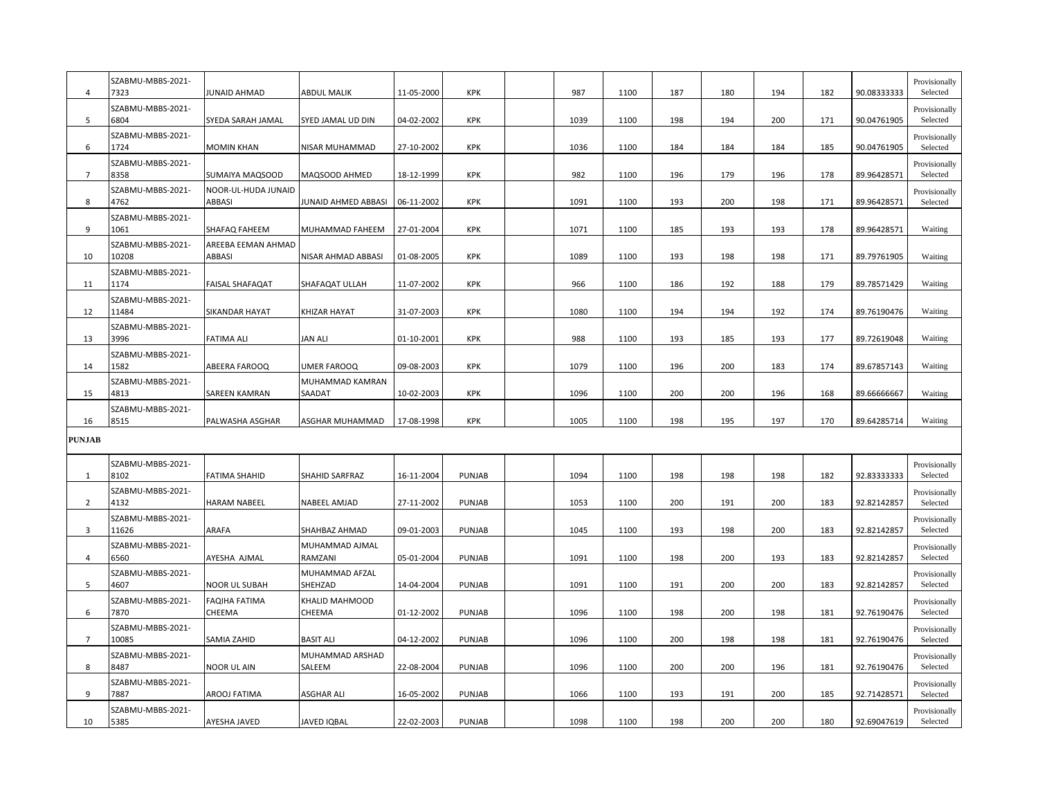| $\overline{4}$ | SZABMU-MBBS-2021-<br>7323  | JUNAID AHMAD                   | <b>ABDUL MALIK</b>        | 11-05-2000 | <b>KPK</b>    | 987  | 1100 | 187 | 180 | 194 | 182 | 90.08333333 | Provisionally<br>Selected |
|----------------|----------------------------|--------------------------------|---------------------------|------------|---------------|------|------|-----|-----|-----|-----|-------------|---------------------------|
| 5              | SZABMU-MBBS-2021-<br>6804  | SYEDA SARAH JAMAL              | SYED JAMAL UD DIN         | 04-02-2002 | <b>KPK</b>    | 1039 | 1100 | 198 | 194 | 200 | 171 | 90.04761905 | Provisionally<br>Selected |
| 6              | SZABMU-MBBS-2021-<br>1724  | <b>MOMIN KHAN</b>              | NISAR MUHAMMAD            | 27-10-2002 | <b>KPK</b>    | 1036 | 1100 | 184 | 184 | 184 | 185 | 90.04761905 | Provisionally<br>Selected |
| $\overline{7}$ | SZABMU-MBBS-2021-<br>8358  | SUMAIYA MAQSOOD                | MAQSOOD AHMED             | 18-12-1999 | KPK           | 982  | 1100 | 196 | 179 | 196 | 178 | 89.96428571 | Provisionally<br>Selected |
| 8              | SZABMU-MBBS-2021-<br>4762  | NOOR-UL-HUDA JUNAID<br>ABBASI  | JUNAID AHMED ABBASI       | 06-11-2002 | KPK           | 1091 | 1100 | 193 | 200 | 198 | 171 | 89.96428571 | Provisionally<br>Selected |
| 9              | SZABMU-MBBS-2021-<br>1061  | SHAFAQ FAHEEM                  | MUHAMMAD FAHEEM           | 27-01-2004 | <b>KPK</b>    | 1071 | 1100 | 185 | 193 | 193 | 178 | 89.96428571 | Waiting                   |
| 10             | SZABMU-MBBS-2021-<br>10208 | AREEBA EEMAN AHMAD<br>ABBASI   | NISAR AHMAD ABBASI        | 01-08-2005 | KPK           | 1089 | 1100 | 193 | 198 | 198 | 171 | 89.79761905 | Waiting                   |
| 11             | SZABMU-MBBS-2021-<br>1174  | FAISAL SHAFAQAT                | SHAFAQAT ULLAH            | 11-07-2002 | <b>KPK</b>    | 966  | 1100 | 186 | 192 | 188 | 179 | 89.78571429 | Waiting                   |
| 12             | SZABMU-MBBS-2021-<br>11484 | SIKANDAR HAYAT                 | KHIZAR HAYAT              | 31-07-2003 | KPK           | 1080 | 1100 | 194 | 194 | 192 | 174 | 89.76190476 | Waiting                   |
| 13             | SZABMU-MBBS-2021-<br>3996  | <b>FATIMA ALI</b>              | <b>JAN ALI</b>            | 01-10-2001 | <b>KPK</b>    | 988  | 1100 | 193 | 185 | 193 | 177 | 89.72619048 | Waiting                   |
| 14             | SZABMU-MBBS-2021-<br>1582  | ABEERA FAROOQ                  | UMER FAROOQ               | 09-08-2003 | <b>KPK</b>    | 1079 | 1100 | 196 | 200 | 183 | 174 | 89.67857143 | Waiting                   |
| 15             | SZABMU-MBBS-2021-<br>4813  | SAREEN KAMRAN                  | MUHAMMAD KAMRAN<br>SAADAT | 10-02-2003 | <b>KPK</b>    | 1096 | 1100 | 200 | 200 | 196 | 168 | 89.66666667 | Waiting                   |
| 16             | SZABMU-MBBS-2021-<br>8515  | PALWASHA ASGHAR                | ASGHAR MUHAMMAD           | 17-08-1998 | KPK           | 1005 | 1100 | 198 | 195 | 197 | 170 | 89.64285714 | Waiting                   |
| <b>PUNJAB</b>  |                            |                                |                           |            |               |      |      |     |     |     |     |             |                           |
| -1             | SZABMU-MBBS-2021-<br>8102  | <b>FATIMA SHAHID</b>           | SHAHID SARFRAZ            | 16-11-2004 | <b>PUNJAB</b> | 1094 | 1100 | 198 | 198 | 198 | 182 | 92.83333333 | Provisionally<br>Selected |
| 2              | SZABMU-MBBS-2021-<br>4132  | <b>HARAM NABEEL</b>            | NABEEL AMJAD              | 27-11-2002 | PUNJAB        | 1053 | 1100 | 200 | 191 | 200 | 183 | 92.82142857 | Provisionally<br>Selected |
| 3              | SZABMU-MBBS-2021-<br>11626 | ARAFA                          | SHAHBAZ AHMAD             | 09-01-2003 | <b>PUNJAB</b> | 1045 | 1100 | 193 | 198 | 200 | 183 | 92.82142857 | Provisionally<br>Selected |
| $\overline{4}$ | SZABMU-MBBS-2021-<br>6560  | AYESHA AJMAL                   | MUHAMMAD AJMAL<br>RAMZANI | 05-01-2004 | PUNJAB        | 1091 | 1100 | 198 | 200 | 193 | 183 | 92.82142857 | Provisionally<br>Selected |
| 5              | SZABMU-MBBS-2021-<br>4607  | <b>NOOR UL SUBAH</b>           | MUHAMMAD AFZAL<br>SHEHZAD | 14-04-2004 | PUNJAB        | 1091 | 1100 | 191 | 200 | 200 | 183 | 92.82142857 | Provisionally<br>Selected |
| 6              | SZABMU-MBBS-2021-<br>7870  | <b>FAQIHA FATIMA</b><br>CHEEMA | KHALID MAHMOOD<br>CHEEMA  | 01-12-2002 | PUNJAB        | 1096 | 1100 | 198 | 200 | 198 | 181 | 92.76190476 | Provisionally<br>Selected |
| $\overline{7}$ | SZABMU-MBBS-2021-<br>10085 | SAMIA ZAHID                    | <b>BASIT ALI</b>          | 04-12-2002 | PUNJAB        | 1096 | 1100 | 200 | 198 | 198 | 181 | 92.76190476 | Provisionally<br>Selected |
| 8              | SZABMU-MBBS-2021-<br>8487  | NOOR UL AIN                    | MUHAMMAD ARSHAD<br>SALEEM | 22-08-2004 | PUNJAB        | 1096 | 1100 | 200 | 200 | 196 | 181 | 92.76190476 | Provisionally<br>Selected |
| 9              | SZABMU-MBBS-2021-<br>7887  | AROOJ FATIMA                   | ASGHAR ALI                | 16-05-2002 | PUNJAB        | 1066 | 1100 | 193 | 191 | 200 | 185 | 92.71428571 | Provisionally<br>Selected |
| 10             | SZABMU-MBBS-2021-<br>5385  | AYESHA JAVED                   | JAVED IQBAL               | 22-02-2003 | <b>PUNJAB</b> | 1098 | 1100 | 198 | 200 | 200 | 180 | 92.69047619 | Provisionally<br>Selected |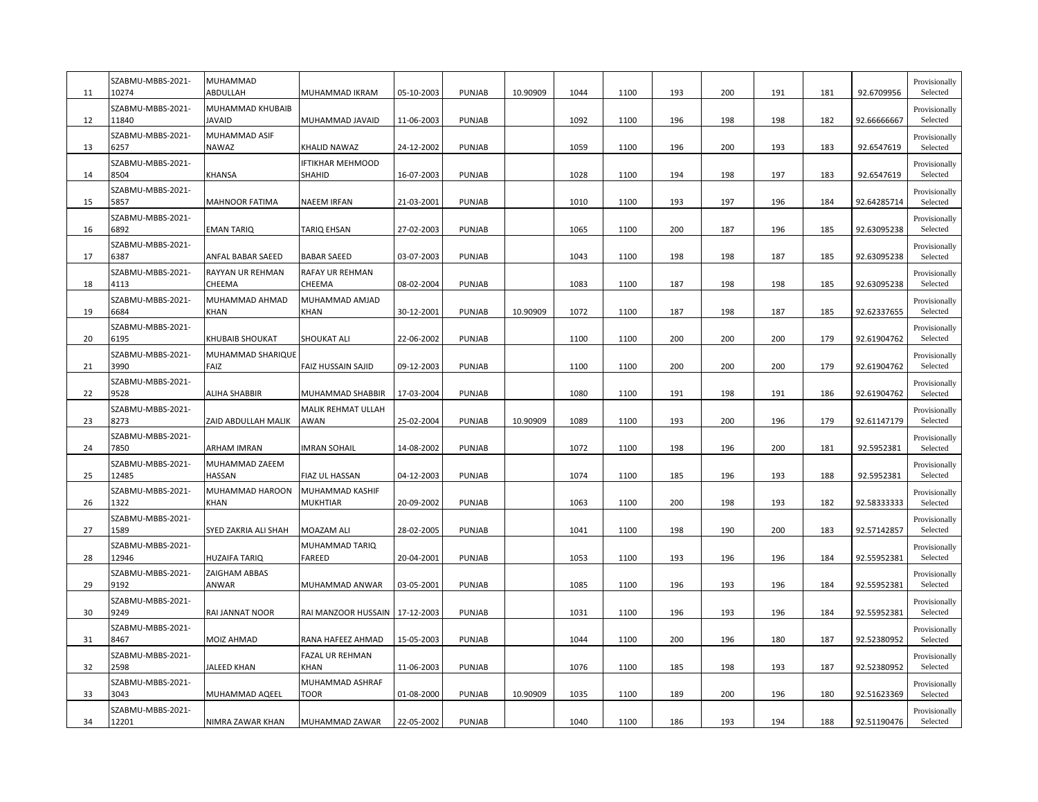| 11 | SZABMU-MBBS-2021-<br>10274 | MUHAMMAD<br>ABDULLAH              | MUHAMMAD IKRAM                    | 05-10-2003 | PUNJAB        | 10.90909 | 1044 | 1100 | 193 | 200 | 191 | 181 | 92.6709956  | Provisionally<br>Selected |
|----|----------------------------|-----------------------------------|-----------------------------------|------------|---------------|----------|------|------|-----|-----|-----|-----|-------------|---------------------------|
| 12 | SZABMU-MBBS-2021-<br>11840 | MUHAMMAD KHUBAIB<br><b>JAVAID</b> | MUHAMMAD JAVAID                   | 11-06-2003 | PUNJAB        |          | 1092 | 1100 | 196 | 198 | 198 | 182 | 92.66666667 | Provisionally<br>Selected |
| 13 | SZABMU-MBBS-2021-<br>6257  | MUHAMMAD ASIF<br><b>NAWAZ</b>     | KHALID NAWAZ                      | 24-12-2002 | PUNJAB        |          | 1059 | 1100 | 196 | 200 | 193 | 183 | 92.6547619  | Provisionally<br>Selected |
| 14 | SZABMU-MBBS-2021-<br>8504  | KHANSA                            | <b>IFTIKHAR MEHMOOD</b><br>SHAHID | 16-07-2003 | PUNJAB        |          | 1028 | 1100 | 194 | 198 | 197 | 183 | 92.6547619  | Provisionally<br>Selected |
| 15 | SZABMU-MBBS-2021-<br>5857  | <b>MAHNOOR FATIMA</b>             | <b>NAEEM IRFAN</b>                | 21-03-2001 | PUNJAB        |          | 1010 | 1100 | 193 | 197 | 196 | 184 | 92.64285714 | Provisionally<br>Selected |
| 16 | SZABMU-MBBS-2021-<br>6892  | <b>EMAN TARIQ</b>                 | TARIQ EHSAN                       | 27-02-2003 | PUNJAB        |          | 1065 | 1100 | 200 | 187 | 196 | 185 | 92.63095238 | Provisionally<br>Selected |
| 17 | SZABMU-MBBS-2021-<br>6387  | ANFAL BABAR SAEED                 | <b>BABAR SAEED</b>                | 03-07-2003 | PUNJAB        |          | 1043 | 1100 | 198 | 198 | 187 | 185 | 92.63095238 | Provisionally<br>Selected |
| 18 | SZABMU-MBBS-2021-<br>4113  | RAYYAN UR REHMAN<br>CHEEMA        | RAFAY UR REHMAN<br>CHEEMA         | 08-02-2004 | PUNJAB        |          | 1083 | 1100 | 187 | 198 | 198 | 185 | 92.63095238 | Provisionally<br>Selected |
| 19 | SZABMU-MBBS-2021-<br>6684  | MUHAMMAD AHMAD<br><b>KHAN</b>     | MUHAMMAD AMJAD<br><b>KHAN</b>     | 30-12-2001 | PUNJAB        | 10.90909 | 1072 | 1100 | 187 | 198 | 187 | 185 | 92.62337655 | Provisionally<br>Selected |
| 20 | SZABMU-MBBS-2021-<br>6195  | KHUBAIB SHOUKAT                   | SHOUKAT ALI                       | 22-06-2002 | <b>PUNJAB</b> |          | 1100 | 1100 | 200 | 200 | 200 | 179 | 92.61904762 | Provisionally<br>Selected |
| 21 | SZABMU-MBBS-2021-<br>3990  | MUHAMMAD SHARIQUE<br>FAIZ         | FAIZ HUSSAIN SAJID                | 09-12-2003 | PUNJAB        |          | 1100 | 1100 | 200 | 200 | 200 | 179 | 92.61904762 | Provisionally<br>Selected |
| 22 | SZABMU-MBBS-2021-<br>9528  | <b>ALIHA SHABBIR</b>              | MUHAMMAD SHABBIR                  | 17-03-2004 | PUNJAB        |          | 1080 | 1100 | 191 | 198 | 191 | 186 | 92.61904762 | Provisionally<br>Selected |
| 23 | SZABMU-MBBS-2021-<br>8273  | ZAID ABDULLAH MALIK               | <b>MALIK REHMAT ULLAH</b><br>AWAN | 25-02-2004 | PUNJAB        | 10.90909 | 1089 | 1100 | 193 | 200 | 196 | 179 | 92.61147179 | Provisionally<br>Selected |
| 24 | SZABMU-MBBS-2021-<br>7850  | ARHAM IMRAN                       | <b>IMRAN SOHAIL</b>               | 14-08-2002 | PUNJAB        |          | 1072 | 1100 | 198 | 196 | 200 | 181 | 92.5952381  | Provisionally<br>Selected |
| 25 | SZABMU-MBBS-2021-<br>12485 | MUHAMMAD ZAEEM<br>HASSAN          | FIAZ UL HASSAN                    | 04-12-2003 | PUNJAB        |          | 1074 | 1100 | 185 | 196 | 193 | 188 | 92.5952381  | Provisionally<br>Selected |
| 26 | SZABMU-MBBS-2021-<br>1322  | MUHAMMAD HAROON<br>KHAN           | MUHAMMAD KASHIF<br>MUKHTIAR       | 20-09-2002 | PUNJAB        |          | 1063 | 1100 | 200 | 198 | 193 | 182 | 92.58333333 | Provisionally<br>Selected |
| 27 | SZABMU-MBBS-2021-<br>1589  | SYED ZAKRIA ALI SHAH              | MOAZAM ALI                        | 28-02-2005 | PUNJAB        |          | 1041 | 1100 | 198 | 190 | 200 | 183 | 92.57142857 | Provisionally<br>Selected |
| 28 | SZABMU-MBBS-2021-<br>12946 | <b>HUZAIFA TARIQ</b>              | MUHAMMAD TARIQ<br>FAREED          | 20-04-2001 | PUNJAB        |          | 1053 | 1100 | 193 | 196 | 196 | 184 | 92.55952381 | Provisionally<br>Selected |
| 29 | SZABMU-MBBS-2021-<br>9192  | <b>ZAIGHAM ABBAS</b><br>ANWAR     | MUHAMMAD ANWAR                    | 03-05-2001 | PUNJAB        |          | 1085 | 1100 | 196 | 193 | 196 | 184 | 92.55952381 | Provisionally<br>Selected |
| 30 | SZABMU-MBBS-2021-<br>9249  | RAI JANNAT NOOR                   | RAI MANZOOR HUSSAIN               | 17-12-2003 | PUNJAB        |          | 1031 | 1100 | 196 | 193 | 196 | 184 | 92.55952381 | Provisionally<br>Selected |
| 31 | SZABMU-MBBS-2021-<br>8467  | <b>MOIZ AHMAD</b>                 | RANA HAFEEZ AHMAD                 | 15-05-2003 | PUNJAB        |          | 1044 | 1100 | 200 | 196 | 180 | 187 | 92.52380952 | Provisionally<br>Selected |
| 32 | SZABMU-MBBS-2021-<br>2598  | JALEED KHAN                       | FAZAL UR REHMAN<br>KHAN           | 11-06-2003 | PUNJAB        |          | 1076 | 1100 | 185 | 198 | 193 | 187 | 92.52380952 | Provisionally<br>Selected |
| 33 | SZABMU-MBBS-2021-<br>3043  | MUHAMMAD AQEEL                    | MUHAMMAD ASHRAF<br>TOOR           | 01-08-2000 | PUNJAB        | 10.90909 | 1035 | 1100 | 189 | 200 | 196 | 180 | 92.51623369 | Provisionally<br>Selected |
| 34 | SZABMU-MBBS-2021-<br>12201 | NIMRA ZAWAR KHAN                  | MUHAMMAD ZAWAR                    | 22-05-2002 | <b>PUNJAB</b> |          | 1040 | 1100 | 186 | 193 | 194 | 188 | 92.51190476 | Provisionally<br>Selected |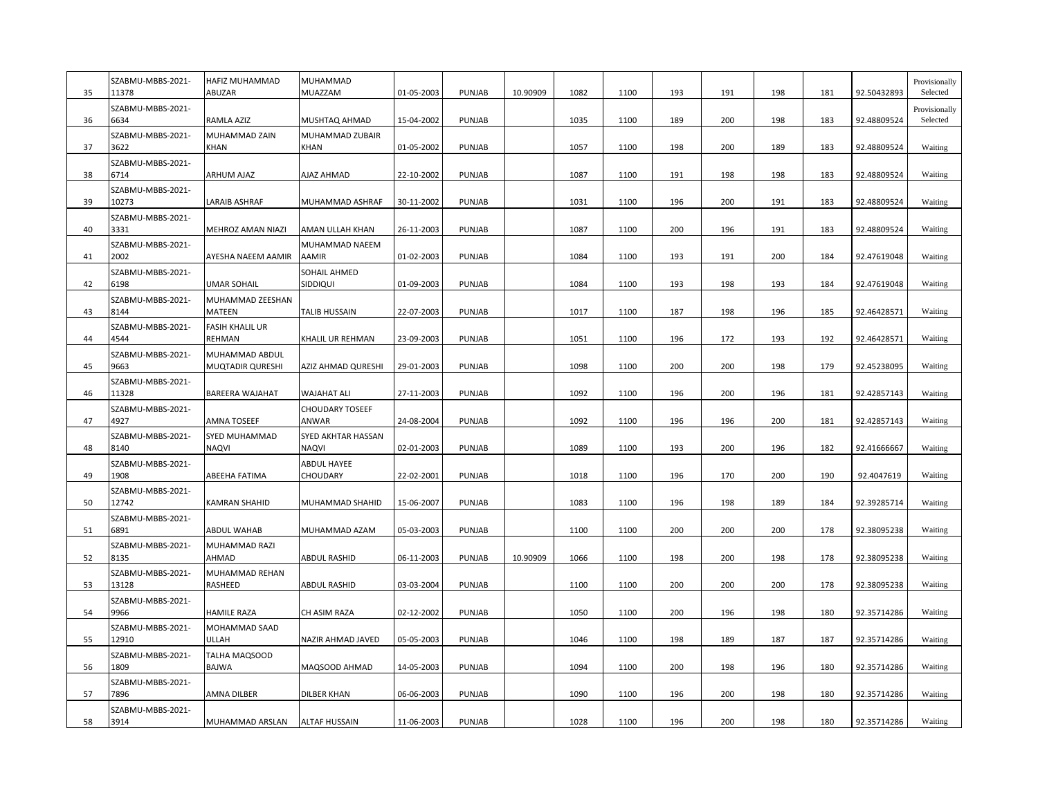| 35 | SZABMU-MBBS-2021-<br>11378 | HAFIZ MUHAMMAD<br>ABUZAR           | MUHAMMAD<br>MUAZZAM                | 01-05-2003 | <b>PUNJAB</b> | 10.90909 | 1082 | 1100 | 193 | 191 | 198 | 181 | 92.50432893 | Provisionally<br>Selected |
|----|----------------------------|------------------------------------|------------------------------------|------------|---------------|----------|------|------|-----|-----|-----|-----|-------------|---------------------------|
| 36 | SZABMU-MBBS-2021-<br>6634  | RAMLA AZIZ                         | MUSHTAQ AHMAD                      | 15-04-2002 | PUNJAB        |          | 1035 | 1100 | 189 | 200 | 198 | 183 | 92.48809524 | Provisionally<br>Selected |
| 37 | SZABMU-MBBS-2021-<br>3622  | MUHAMMAD ZAIN<br>KHAN              | MUHAMMAD ZUBAIR<br>KHAN            | 01-05-2002 | PUNJAB        |          | 1057 | 1100 | 198 | 200 | 189 | 183 | 92.48809524 | Waiting                   |
| 38 | SZABMU-MBBS-2021-<br>6714  | ARHUM AJAZ                         | AJAZ AHMAD                         | 22-10-2002 | PUNJAB        |          | 1087 | 1100 | 191 | 198 | 198 | 183 | 92.48809524 | Waiting                   |
| 39 | SZABMU-MBBS-2021-<br>10273 | LARAIB ASHRAF                      | MUHAMMAD ASHRAF                    | 30-11-2002 | PUNJAB        |          | 1031 | 1100 | 196 | 200 | 191 | 183 | 92.48809524 | Waiting                   |
| 40 | SZABMU-MBBS-2021-<br>3331  | MEHROZ AMAN NIAZI                  | AMAN ULLAH KHAN                    | 26-11-2003 | PUNJAB        |          | 1087 | 1100 | 200 | 196 | 191 | 183 | 92.48809524 | Waiting                   |
| 41 | SZABMU-MBBS-2021-<br>2002  | AYESHA NAEEM AAMIR                 | MUHAMMAD NAEEM<br>AAMIR            | 01-02-2003 | PUNJAB        |          | 1084 | 1100 | 193 | 191 | 200 | 184 | 92.47619048 | Waiting                   |
| 42 | SZABMU-MBBS-2021-<br>6198  | UMAR SOHAIL                        | SOHAIL AHMED<br>SIDDIQUI           | 01-09-2003 | PUNJAB        |          | 1084 | 1100 | 193 | 198 | 193 | 184 | 92.47619048 | Waiting                   |
| 43 | SZABMU-MBBS-2021-<br>8144  | MUHAMMAD ZEESHAN<br>MATEEN         | TALIB HUSSAIN                      | 22-07-2003 | PUNJAB        |          | 1017 | 1100 | 187 | 198 | 196 | 185 | 92.46428571 | Waiting                   |
| 44 | SZABMU-MBBS-2021-<br>4544  | FASIH KHALIL UR<br>REHMAN          | KHALIL UR REHMAN                   | 23-09-2003 | PUNJAB        |          | 1051 | 1100 | 196 | 172 | 193 | 192 | 92.46428571 | Waiting                   |
| 45 | SZABMU-MBBS-2021-<br>9663  | MUHAMMAD ABDUL<br>MUQTADIR QURESHI | AZIZ AHMAD QURESHI                 | 29-01-2003 | PUNJAB        |          | 1098 | 1100 | 200 | 200 | 198 | 179 | 92.45238095 | Waiting                   |
| 46 | SZABMU-MBBS-2021-<br>11328 | BAREERA WAJAHAT                    | <b>WAJAHAT ALI</b>                 | 27-11-2003 | PUNJAB        |          | 1092 | 1100 | 196 | 200 | 196 | 181 | 92.42857143 | Waiting                   |
| 47 | SZABMU-MBBS-2021-<br>4927  | AMNA TOSEEF                        | <b>CHOUDARY TOSEEF</b><br>ANWAR    | 24-08-2004 | PUNJAB        |          | 1092 | 1100 | 196 | 196 | 200 | 181 | 92.42857143 | Waiting                   |
| 48 | SZABMU-MBBS-2021-<br>8140  | SYED MUHAMMAD<br>NAQVI             | SYED AKHTAR HASSAN<br><b>NAQVI</b> | 02-01-2003 | PUNJAB        |          | 1089 | 1100 | 193 | 200 | 196 | 182 | 92.41666667 | Waiting                   |
| 49 | SZABMU-MBBS-2021-<br>1908  | ABEEHA FATIMA                      | <b>ABDUL HAYEE</b><br>CHOUDARY     | 22-02-2001 | PUNJAB        |          | 1018 | 1100 | 196 | 170 | 200 | 190 | 92.4047619  | Waiting                   |
| 50 | SZABMU-MBBS-2021-<br>12742 | KAMRAN SHAHID                      | MUHAMMAD SHAHID                    | 15-06-2007 | PUNJAB        |          | 1083 | 1100 | 196 | 198 | 189 | 184 | 92.39285714 | Waiting                   |
| 51 | SZABMU-MBBS-2021-<br>6891  | ABDUL WAHAB                        | MUHAMMAD AZAM                      | 05-03-2003 | PUNJAB        |          | 1100 | 1100 | 200 | 200 | 200 | 178 | 92.38095238 | Waiting                   |
| 52 | SZABMU-MBBS-2021-<br>8135  | MUHAMMAD RAZI<br>AHMAD             | <b>ABDUL RASHID</b>                | 06-11-2003 | PUNJAB        | 10.90909 | 1066 | 1100 | 198 | 200 | 198 | 178 | 92.38095238 | Waiting                   |
| 53 | SZABMU-MBBS-2021-<br>13128 | MUHAMMAD REHAN<br>RASHEED          | ABDUL RASHID                       | 03-03-2004 | PUNJAB        |          | 1100 | 1100 | 200 | 200 | 200 | 178 | 92.38095238 | Waiting                   |
| 54 | SZABMU-MBBS-2021-<br>9966  | <b>HAMILE RAZA</b>                 | CH ASIM RAZA                       | 02-12-2002 | PUNJAB        |          | 1050 | 1100 | 200 | 196 | 198 | 180 | 92.35714286 | Waiting                   |
| 55 | SZABMU-MBBS-2021-<br>12910 | MOHAMMAD SAAD<br>ULLAH             | NAZIR AHMAD JAVED                  | 05-05-2003 | PUNJAB        |          | 1046 | 1100 | 198 | 189 | 187 | 187 | 92.35714286 | Waiting                   |
| 56 | SZABMU-MBBS-2021-<br>1809  | TALHA MAQSOOD<br><b>BAJWA</b>      | MAQSOOD AHMAD                      | 14-05-2003 | PUNJAB        |          | 1094 | 1100 | 200 | 198 | 196 | 180 | 92.35714286 | Waiting                   |
| 57 | SZABMU-MBBS-2021-<br>7896  | AMNA DILBER                        | <b>DILBER KHAN</b>                 | 06-06-2003 | PUNJAB        |          | 1090 | 1100 | 196 | 200 | 198 | 180 | 92.35714286 | Waiting                   |
| 58 | SZABMU-MBBS-2021-<br>3914  | MUHAMMAD ARSLAN                    | <b>ALTAF HUSSAIN</b>               | 11-06-2003 | PUNJAB        |          | 1028 | 1100 | 196 | 200 | 198 | 180 | 92.35714286 | Waiting                   |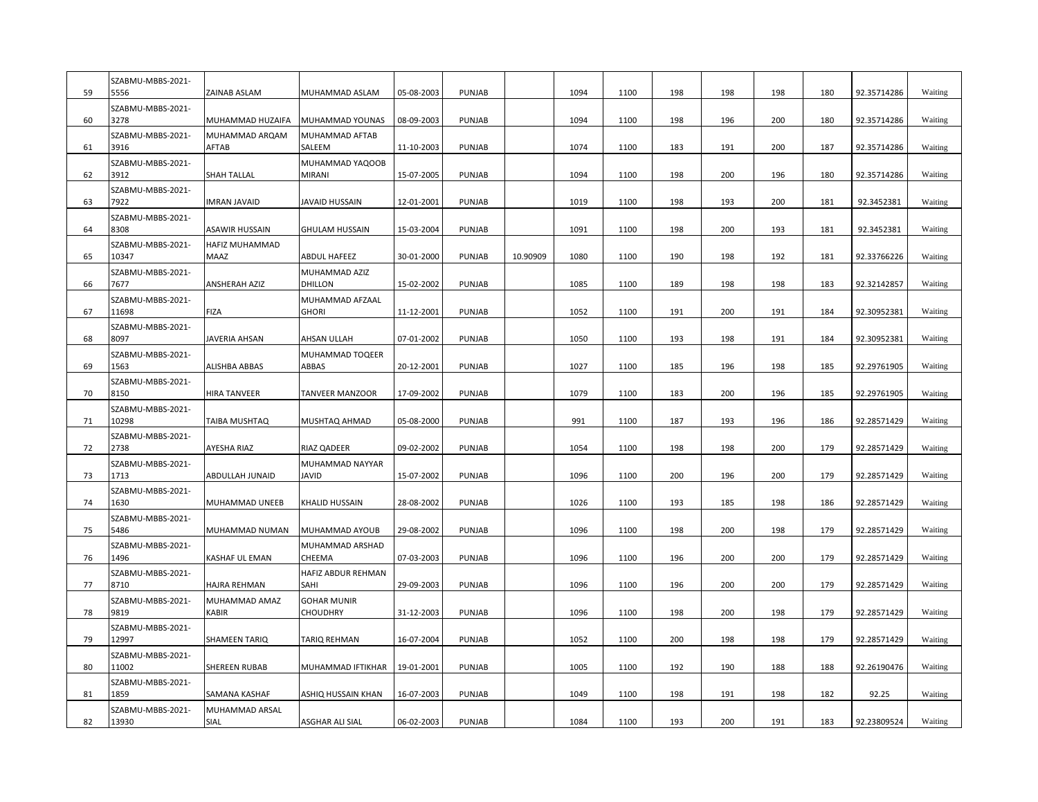| 59 | SZABMU-MBBS-2021-<br>5556  | ZAINAB ASLAM            | MUHAMMAD ASLAM                   | 05-08-2003 | <b>PUNJAB</b> |          | 1094 | 1100 | 198 | 198 | 198 | 180 | 92.35714286 | Waiting |
|----|----------------------------|-------------------------|----------------------------------|------------|---------------|----------|------|------|-----|-----|-----|-----|-------------|---------|
| 60 | SZABMU-MBBS-2021-<br>3278  | MUHAMMAD HUZAIFA        | MUHAMMAD YOUNAS                  | 08-09-2003 | PUNJAB        |          | 1094 | 1100 | 198 | 196 | 200 | 180 | 92.35714286 | Waiting |
| 61 | SZABMU-MBBS-2021-<br>3916  | MUHAMMAD ARQAM<br>AFTAB | MUHAMMAD AFTAB<br>SALEEM         | 11-10-2003 | PUNJAB        |          | 1074 | 1100 | 183 | 191 | 200 | 187 | 92.35714286 | Waiting |
| 62 | SZABMU-MBBS-2021-<br>3912  | SHAH TALLAL             | MUHAMMAD YAQOOB<br><b>MIRANI</b> | 15-07-2005 | PUNJAB        |          | 1094 | 1100 | 198 | 200 | 196 | 180 | 92.35714286 | Waiting |
| 63 | SZABMU-MBBS-2021-<br>7922  | <b>IMRAN JAVAID</b>     | JAVAID HUSSAIN                   | 12-01-2001 | <b>PUNJAB</b> |          | 1019 | 1100 | 198 | 193 | 200 | 181 | 92.3452381  | Waiting |
| 64 | SZABMU-MBBS-2021-<br>8308  | ASAWIR HUSSAIN          | <b>GHULAM HUSSAIN</b>            | 15-03-2004 | PUNJAB        |          | 1091 | 1100 | 198 | 200 | 193 | 181 | 92.3452381  | Waiting |
| 65 | SZABMU-MBBS-2021-<br>10347 | HAFIZ MUHAMMAD<br>MAAZ  | <b>ABDUL HAFEEZ</b>              | 30-01-2000 | PUNJAB        | 10.90909 | 1080 | 1100 | 190 | 198 | 192 | 181 | 92.33766226 | Waiting |
| 66 | SZABMU-MBBS-2021-<br>7677  | <b>ANSHERAH AZIZ</b>    | MUHAMMAD AZIZ<br>DHILLON         | 15-02-2002 | PUNJAB        |          | 1085 | 1100 | 189 | 198 | 198 | 183 | 92.32142857 | Waiting |
| 67 | SZABMU-MBBS-2021-<br>11698 | <b>FIZA</b>             | MUHAMMAD AFZAAL<br><b>GHORI</b>  | 11-12-2001 | PUNJAB        |          | 1052 | 1100 | 191 | 200 | 191 | 184 | 92.30952381 | Waiting |
| 68 | SZABMU-MBBS-2021-<br>8097  | JAVERIA AHSAN           | AHSAN ULLAH                      | 07-01-2002 | PUNJAB        |          | 1050 | 1100 | 193 | 198 | 191 | 184 | 92.30952381 | Waiting |
| 69 | SZABMU-MBBS-2021-<br>1563  | ALISHBA ABBAS           | MUHAMMAD TOQEER<br>ABBAS         | 20-12-2001 | PUNJAB        |          | 1027 | 1100 | 185 | 196 | 198 | 185 | 92.29761905 | Waiting |
| 70 | SZABMU-MBBS-2021-<br>8150  | <b>HIRA TANVEER</b>     | TANVEER MANZOOR                  | 17-09-2002 | PUNJAB        |          | 1079 | 1100 | 183 | 200 | 196 | 185 | 92.29761905 | Waiting |
| 71 | SZABMU-MBBS-2021-<br>10298 | TAIBA MUSHTAQ           | MUSHTAQ AHMAD                    | 05-08-2000 | PUNJAB        |          | 991  | 1100 | 187 | 193 | 196 | 186 | 92.28571429 | Waiting |
| 72 | SZABMU-MBBS-2021-<br>2738  | AYESHA RIAZ             | RIAZ QADEER                      | 09-02-2002 | PUNJAB        |          | 1054 | 1100 | 198 | 198 | 200 | 179 | 92.28571429 | Waiting |
| 73 | SZABMU-MBBS-2021-<br>1713  | ABDULLAH JUNAID         | MUHAMMAD NAYYAR<br><b>JAVID</b>  | 15-07-2002 | <b>PUNJAB</b> |          | 1096 | 1100 | 200 | 196 | 200 | 179 | 92.28571429 | Waiting |
| 74 | SZABMU-MBBS-2021-<br>1630  | MUHAMMAD UNEEB          | KHALID HUSSAIN                   | 28-08-2002 | PUNJAB        |          | 1026 | 1100 | 193 | 185 | 198 | 186 | 92.28571429 | Waiting |
| 75 | SZABMU-MBBS-2021-<br>5486  | MUHAMMAD NUMAN          | MUHAMMAD AYOUB                   | 29-08-2002 | PUNJAB        |          | 1096 | 1100 | 198 | 200 | 198 | 179 | 92.28571429 | Waiting |
| 76 | SZABMU-MBBS-2021-<br>1496  | KASHAF UL EMAN          | MUHAMMAD ARSHAD<br>CHEEMA        | 07-03-2003 | PUNJAB        |          | 1096 | 1100 | 196 | 200 | 200 | 179 | 92.28571429 | Waiting |
| 77 | SZABMU-MBBS-2021-<br>8710  | <b>HAJRA REHMAN</b>     | HAFIZ ABDUR REHMAN<br>SAHI       | 29-09-2003 | PUNJAB        |          | 1096 | 1100 | 196 | 200 | 200 | 179 | 92.28571429 | Waiting |
| 78 | SZABMU-MBBS-2021-<br>9819  | MUHAMMAD AMAZ<br>KABIR  | <b>GOHAR MUNIR</b><br>CHOUDHRY   | 31-12-2003 | <b>PUNJAB</b> |          | 1096 | 1100 | 198 | 200 | 198 | 179 | 92.28571429 | Waiting |
| 79 | SZABMU-MBBS-2021-<br>12997 | SHAMEEN TARIQ           | TARIQ REHMAN                     | 16-07-2004 | PUNJAB        |          | 1052 | 1100 | 200 | 198 | 198 | 179 | 92.28571429 | Waiting |
| 80 | SZABMU-MBBS-2021-<br>11002 | SHEREEN RUBAB           | MUHAMMAD IFTIKHAR                | 19-01-2001 | PUNJAB        |          | 1005 | 1100 | 192 | 190 | 188 | 188 | 92.26190476 | Waiting |
| 81 | SZABMU-MBBS-2021-<br>1859  | SAMANA KASHAF           | ASHIQ HUSSAIN KHAN               | 16-07-2003 | PUNJAB        |          | 1049 | 1100 | 198 | 191 | 198 | 182 | 92.25       | Waiting |
| 82 | SZABMU-MBBS-2021-<br>13930 | MUHAMMAD ARSAL<br>SIAL  | ASGHAR ALI SIAL                  | 06-02-2003 | PUNJAB        |          | 1084 | 1100 | 193 | 200 | 191 | 183 | 92.23809524 | Waiting |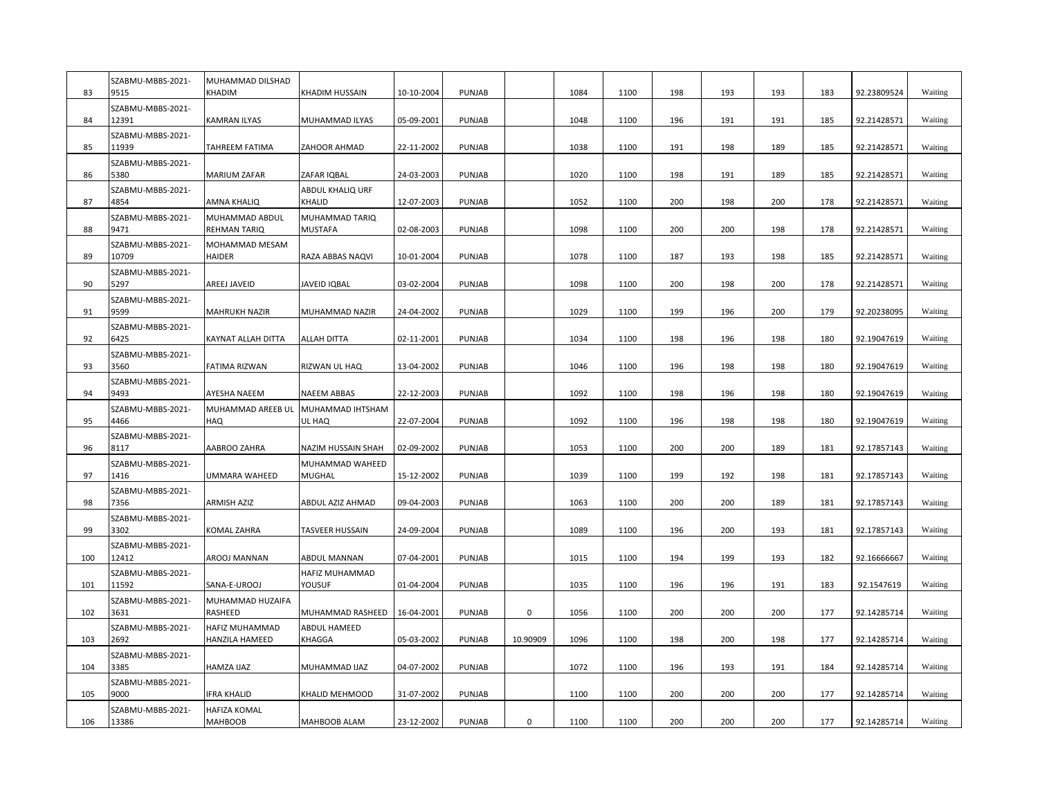| 83  | SZABMU-MBBS-2021-<br>9515  | MUHAMMAD DILSHAD<br>KHADIM       | KHADIM HUSSAIN                   | 10-10-2004 | <b>PUNJAB</b> |             | 1084 | 1100 | 198 | 193 | 193 | 183 | 92.23809524 | Waiting |
|-----|----------------------------|----------------------------------|----------------------------------|------------|---------------|-------------|------|------|-----|-----|-----|-----|-------------|---------|
| 84  | SZABMU-MBBS-2021-<br>12391 | KAMRAN ILYAS                     | MUHAMMAD ILYAS                   | 05-09-2001 | PUNJAB        |             | 1048 | 1100 | 196 | 191 | 191 | 185 | 92.21428571 | Waiting |
| 85  | SZABMU-MBBS-2021-<br>11939 | TAHREEM FATIMA                   | ZAHOOR AHMAD                     | 22-11-2002 | PUNJAB        |             | 1038 | 1100 | 191 | 198 | 189 | 185 | 92.21428571 | Waiting |
| 86  | SZABMU-MBBS-2021-<br>5380  | MARIUM ZAFAR                     | ZAFAR IQBAL                      | 24-03-2003 | PUNJAB        |             | 1020 | 1100 | 198 | 191 | 189 | 185 | 92.21428571 | Waiting |
| 87  | SZABMU-MBBS-2021-<br>4854  | AMNA KHALIQ                      | ABDUL KHALIQ URF<br>KHALID       | 12-07-2003 | PUNJAB        |             | 1052 | 1100 | 200 | 198 | 200 | 178 | 92.21428571 | Waiting |
| 88  | SZABMU-MBBS-2021-<br>9471  | MUHAMMAD ABDUL<br>REHMAN TARIQ   | MUHAMMAD TARIQ<br><b>MUSTAFA</b> | 02-08-2003 | PUNJAB        |             | 1098 | 1100 | 200 | 200 | 198 | 178 | 92.21428571 | Waiting |
| 89  | SZABMU-MBBS-2021-<br>10709 | MOHAMMAD MESAM<br>HAIDER         | RAZA ABBAS NAQVI                 | 10-01-2004 | PUNJAB        |             | 1078 | 1100 | 187 | 193 | 198 | 185 | 92.21428571 | Waiting |
| 90  | SZABMU-MBBS-2021-<br>5297  | AREEJ JAVEID                     | <b>JAVEID IQBAL</b>              | 03-02-2004 | PUNJAB        |             | 1098 | 1100 | 200 | 198 | 200 | 178 | 92.21428571 | Waiting |
| 91  | SZABMU-MBBS-2021-<br>9599  | MAHRUKH NAZIR                    | MUHAMMAD NAZIR                   | 24-04-2002 | PUNJAB        |             | 1029 | 1100 | 199 | 196 | 200 | 179 | 92.20238095 | Waiting |
| 92  | SZABMU-MBBS-2021-<br>6425  | KAYNAT ALLAH DITTA               | <b>ALLAH DITTA</b>               | 02-11-2001 | PUNJAB        |             | 1034 | 1100 | 198 | 196 | 198 | 180 | 92.19047619 | Waiting |
| 93  | SZABMU-MBBS-2021-<br>3560  | FATIMA RIZWAN                    | RIZWAN UL HAQ                    | 13-04-2002 | PUNJAB        |             | 1046 | 1100 | 196 | 198 | 198 | 180 | 92.19047619 | Waiting |
| 94  | SZABMU-MBBS-2021-<br>9493  | AYESHA NAEEM                     | <b>NAEEM ABBAS</b>               | 22-12-2003 | PUNJAB        |             | 1092 | 1100 | 198 | 196 | 198 | 180 | 92.19047619 | Waiting |
| 95  | SZABMU-MBBS-2021-<br>4466  | MUHAMMAD AREEB UL<br>HAQ         | MUHAMMAD IHTSHAM<br>UL HAQ       | 22-07-2004 | PUNJAB        |             | 1092 | 1100 | 196 | 198 | 198 | 180 | 92.19047619 | Waiting |
| 96  | SZABMU-MBBS-2021-<br>8117  | AABROO ZAHRA                     | NAZIM HUSSAIN SHAH               | 02-09-2002 | PUNJAB        |             | 1053 | 1100 | 200 | 200 | 189 | 181 | 92.17857143 | Waiting |
| 97  | SZABMU-MBBS-2021-<br>1416  | UMMARA WAHEED                    | MUHAMMAD WAHEED<br><b>MUGHAL</b> | 15-12-2002 | <b>PUNJAB</b> |             | 1039 | 1100 | 199 | 192 | 198 | 181 | 92.17857143 | Waiting |
| 98  | SZABMU-MBBS-2021-<br>7356  | ARMISH AZIZ                      | ABDUL AZIZ AHMAD                 | 09-04-2003 | PUNJAB        |             | 1063 | 1100 | 200 | 200 | 189 | 181 | 92.17857143 | Waiting |
| 99  | SZABMU-MBBS-2021-<br>3302  | KOMAL ZAHRA                      | TASVEER HUSSAIN                  | 24-09-2004 | <b>PUNJAB</b> |             | 1089 | 1100 | 196 | 200 | 193 | 181 | 92.17857143 | Waiting |
| 100 | SZABMU-MBBS-2021-<br>12412 | AROOJ MANNAN                     | ABDUL MANNAN                     | 07-04-2001 | PUNJAB        |             | 1015 | 1100 | 194 | 199 | 193 | 182 | 92.16666667 | Waiting |
| 101 | SZABMU-MBBS-2021-<br>11592 | SANA-E-UROOJ                     | HAFIZ MUHAMMAD<br>YOUSUF         | 01-04-2004 | <b>PUNJAB</b> |             | 1035 | 1100 | 196 | 196 | 191 | 183 | 92.1547619  | Waiting |
| 102 | SZABMU-MBBS-2021-<br>3631  | MUHAMMAD HUZAIFA<br>RASHEED      | MUHAMMAD RASHEED                 | 16-04-2001 | PUNJAB        | $\mathsf 0$ | 1056 | 1100 | 200 | 200 | 200 | 177 | 92.14285714 | Waiting |
| 103 | SZABMU-MBBS-2021-<br>2692  | HAFIZ MUHAMMAD<br>HANZILA HAMEED | ABDUL HAMEED<br>KHAGGA           | 05-03-2002 | PUNJAB        | 10.90909    | 1096 | 1100 | 198 | 200 | 198 | 177 | 92.14285714 | Waiting |
| 104 | SZABMU-MBBS-2021-<br>3385  | HAMZA IJAZ                       | MUHAMMAD IJAZ                    | 04-07-2002 | PUNJAB        |             | 1072 | 1100 | 196 | 193 | 191 | 184 | 92.14285714 | Waiting |
| 105 | SZABMU-MBBS-2021-<br>9000  | IFRA KHALID                      | KHALID MEHMOOD                   | 31-07-2002 | PUNJAB        |             | 1100 | 1100 | 200 | 200 | 200 | 177 | 92.14285714 | Waiting |
| 106 | SZABMU-MBBS-2021-<br>13386 | HAFIZA KOMAL<br>MAHBOOB          | MAHBOOB ALAM                     | 23-12-2002 | PUNJAB        | 0           | 1100 | 1100 | 200 | 200 | 200 | 177 | 92.14285714 | Waiting |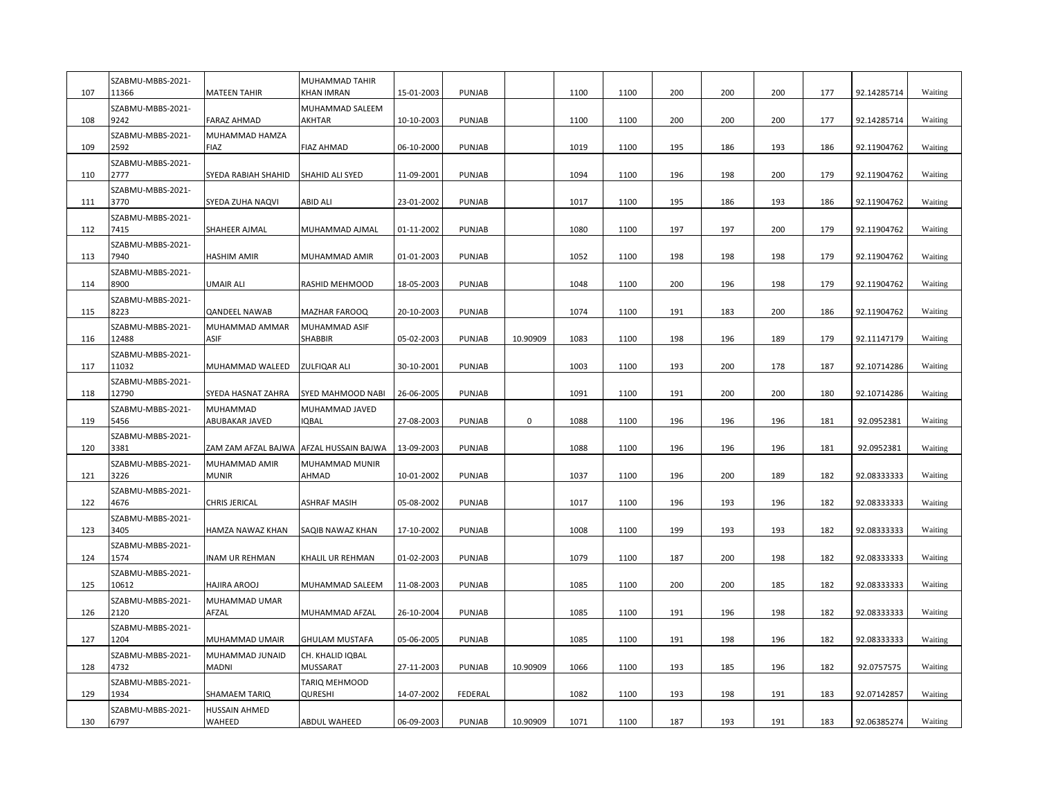| 107 | SZABMU-MBBS-2021-<br>11366 | <b>MATEEN TAHIR</b>                     | MUHAMMAD TAHIR<br><b>KHAN IMRAN</b> | 15-01-2003 | <b>PUNJAB</b> |           | 1100 | 1100 | 200 | 200 | 200 | 177 | 92.14285714 | Waiting |
|-----|----------------------------|-----------------------------------------|-------------------------------------|------------|---------------|-----------|------|------|-----|-----|-----|-----|-------------|---------|
| 108 | SZABMU-MBBS-2021-<br>9242  | FARAZ AHMAD                             | MUHAMMAD SALEEM<br>AKHTAR           | 10-10-2003 | PUNJAB        |           | 1100 | 1100 | 200 | 200 | 200 | 177 | 92.14285714 | Waiting |
| 109 | SZABMU-MBBS-2021-<br>2592  | MUHAMMAD HAMZA<br><b>FIAZ</b>           | <b>FIAZ AHMAD</b>                   | 06-10-2000 | PUNJAB        |           | 1019 | 1100 | 195 | 186 | 193 | 186 | 92.11904762 | Waiting |
| 110 | SZABMU-MBBS-2021-<br>2777  | SYEDA RABIAH SHAHID                     | SHAHID ALI SYED                     | 11-09-2001 | PUNJAB        |           | 1094 | 1100 | 196 | 198 | 200 | 179 | 92.11904762 | Waiting |
| 111 | SZABMU-MBBS-2021-<br>3770  | SYEDA ZUHA NAQVI                        | <b>ABID ALI</b>                     | 23-01-2002 | PUNJAB        |           | 1017 | 1100 | 195 | 186 | 193 | 186 | 92.11904762 | Waiting |
| 112 | SZABMU-MBBS-2021-<br>7415  | SHAHEER AJMAL                           | MUHAMMAD AJMAL                      | 01-11-2002 | PUNJAB        |           | 1080 | 1100 | 197 | 197 | 200 | 179 | 92.11904762 | Waiting |
| 113 | SZABMU-MBBS-2021-<br>7940  | HASHIM AMIR                             | MUHAMMAD AMIR                       | 01-01-2003 | PUNJAB        |           | 1052 | 1100 | 198 | 198 | 198 | 179 | 92.11904762 | Waiting |
| 114 | SZABMU-MBBS-2021-<br>8900  | UMAIR ALI                               | RASHID MEHMOOD                      | 18-05-2003 | PUNJAB        |           | 1048 | 1100 | 200 | 196 | 198 | 179 | 92.11904762 | Waiting |
| 115 | SZABMU-MBBS-2021-<br>8223  | <b>QANDEEL NAWAB</b>                    | MAZHAR FAROOQ                       | 20-10-2003 | PUNJAB        |           | 1074 | 1100 | 191 | 183 | 200 | 186 | 92.11904762 | Waiting |
| 116 | SZABMU-MBBS-2021-<br>12488 | MUHAMMAD AMMAR<br>ASIF                  | MUHAMMAD ASIF<br>SHABBIR            | 05-02-2003 | PUNJAB        | 10.90909  | 1083 | 1100 | 198 | 196 | 189 | 179 | 92.11147179 | Waiting |
| 117 | SZABMU-MBBS-2021-<br>11032 | MUHAMMAD WALEED                         | ZULFIQAR ALI                        | 30-10-2001 | PUNJAB        |           | 1003 | 1100 | 193 | 200 | 178 | 187 | 92.10714286 | Waiting |
| 118 | SZABMU-MBBS-2021-<br>12790 | SYEDA HASNAT ZAHRA                      | SYED MAHMOOD NABI                   | 26-06-2005 | PUNJAB        |           | 1091 | 1100 | 191 | 200 | 200 | 180 | 92.10714286 | Waiting |
| 119 | SZABMU-MBBS-2021-<br>5456  | MUHAMMAD<br>ABUBAKAR JAVED              | MUHAMMAD JAVED<br>IQBAL             | 27-08-2003 | PUNJAB        | $\pmb{0}$ | 1088 | 1100 | 196 | 196 | 196 | 181 | 92.0952381  | Waiting |
| 120 | SZABMU-MBBS-2021-<br>3381  | ZAM ZAM AFZAL BAJWA AFZAL HUSSAIN BAJWA |                                     | 13-09-2003 | PUNJAB        |           | 1088 | 1100 | 196 | 196 | 196 | 181 | 92.0952381  | Waiting |
| 121 | SZABMU-MBBS-2021-<br>3226  | MUHAMMAD AMIR<br>MUNIR                  | MUHAMMAD MUNIR<br>AHMAD             | 10-01-2002 | PUNJAB        |           | 1037 | 1100 | 196 | 200 | 189 | 182 | 92.08333333 | Waiting |
| 122 | SZABMU-MBBS-2021-<br>4676  | CHRIS JERICAL                           | ASHRAF MASIH                        | 05-08-2002 | PUNJAB        |           | 1017 | 1100 | 196 | 193 | 196 | 182 | 92.08333333 | Waiting |
| 123 | SZABMU-MBBS-2021-<br>3405  | HAMZA NAWAZ KHAN                        | SAQIB NAWAZ KHAN                    | 17-10-2002 | PUNJAB        |           | 1008 | 1100 | 199 | 193 | 193 | 182 | 92.08333333 | Waiting |
| 124 | SZABMU-MBBS-2021-<br>1574  | <b>INAM UR REHMAN</b>                   | KHALIL UR REHMAN                    | 01-02-2003 | PUNJAB        |           | 1079 | 1100 | 187 | 200 | 198 | 182 | 92.08333333 | Waiting |
| 125 | SZABMU-MBBS-2021-<br>10612 | HAJIRA AROOJ                            | MUHAMMAD SALEEM                     | 11-08-2003 | PUNJAB        |           | 1085 | 1100 | 200 | 200 | 185 | 182 | 92.08333333 | Waiting |
| 126 | SZABMU-MBBS-2021-<br>2120  | MUHAMMAD UMAR<br>AFZAL                  | MUHAMMAD AFZAL                      | 26-10-2004 | PUNJAB        |           | 1085 | 1100 | 191 | 196 | 198 | 182 | 92.08333333 | Waiting |
| 127 | SZABMU-MBBS-2021-<br>1204  | MUHAMMAD UMAIR                          | <b>GHULAM MUSTAFA</b>               | 05-06-2005 | PUNJAB        |           | 1085 | 1100 | 191 | 198 | 196 | 182 | 92.08333333 | Waiting |
| 128 | SZABMU-MBBS-2021-<br>4732  | MUHAMMAD JUNAID<br>MADNI                | CH. KHALID IQBAL<br><b>MUSSARAT</b> | 27-11-2003 | PUNJAB        | 10.90909  | 1066 | 1100 | 193 | 185 | 196 | 182 | 92.0757575  | Waiting |
| 129 | SZABMU-MBBS-2021-<br>1934  | SHAMAEM TARIQ                           | TARIQ MEHMOOD<br>QURESHI            | 14-07-2002 | FEDERAL       |           | 1082 | 1100 | 193 | 198 | 191 | 183 | 92.07142857 | Waiting |
| 130 | SZABMU-MBBS-2021-<br>6797  | <b>HUSSAIN AHMED</b><br>WAHEED          | <b>ABDUL WAHEED</b>                 | 06-09-2003 | PUNJAB        | 10.90909  | 1071 | 1100 | 187 | 193 | 191 | 183 | 92.06385274 | Waiting |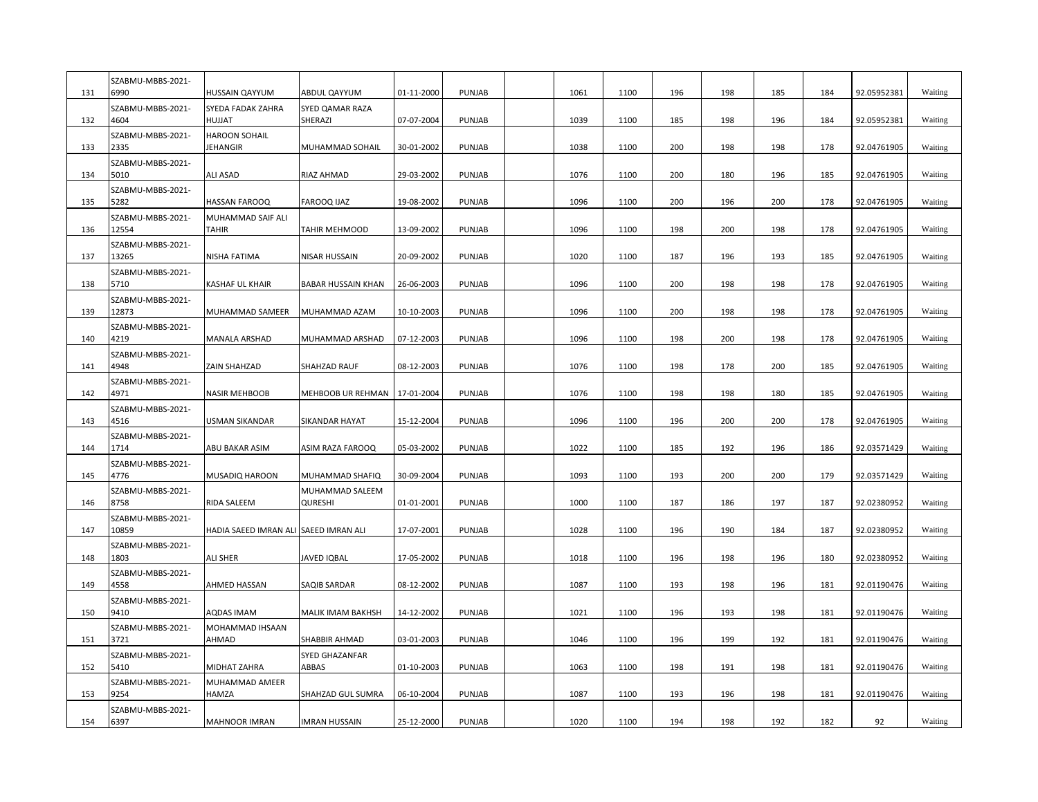| 131 | SZABMU-MBBS-2021-<br>6990  | HUSSAIN QAYYUM                        | ABDUL QAYYUM               | 01-11-2000 | PUNJAB | 1061 | 1100 | 196 | 198 | 185 | 184 | 92.05952381 | Waiting |
|-----|----------------------------|---------------------------------------|----------------------------|------------|--------|------|------|-----|-----|-----|-----|-------------|---------|
| 132 | SZABMU-MBBS-2021-<br>4604  | SYEDA FADAK ZAHRA<br>HUJJAT           | SYED QAMAR RAZA<br>SHERAZI | 07-07-2004 | PUNJAB | 1039 | 1100 | 185 | 198 | 196 | 184 | 92.05952381 | Waiting |
| 133 | SZABMU-MBBS-2021-<br>2335  | <b>HAROON SOHAIL</b><br>JEHANGIR      | MUHAMMAD SOHAIL            | 30-01-2002 | PUNJAB | 1038 | 1100 | 200 | 198 | 198 | 178 | 92.04761905 | Waiting |
| 134 | SZABMU-MBBS-2021-<br>5010  | ALI ASAD                              | RIAZ AHMAD                 | 29-03-2002 | PUNJAB | 1076 | 1100 | 200 | 180 | 196 | 185 | 92.04761905 | Waiting |
| 135 | SZABMU-MBBS-2021-<br>5282  | HASSAN FAROOQ                         | FAROOQ IJAZ                | 19-08-2002 | PUNJAB | 1096 | 1100 | 200 | 196 | 200 | 178 | 92.04761905 | Waiting |
| 136 | SZABMU-MBBS-2021-<br>12554 | MUHAMMAD SAIF ALI<br>TAHIR            | TAHIR MEHMOOD              | 13-09-2002 | PUNJAB | 1096 | 1100 | 198 | 200 | 198 | 178 | 92.04761905 | Waiting |
| 137 | SZABMU-MBBS-2021-<br>13265 | NISHA FATIMA                          | NISAR HUSSAIN              | 20-09-2002 | PUNJAB | 1020 | 1100 | 187 | 196 | 193 | 185 | 92.04761905 | Waiting |
| 138 | SZABMU-MBBS-2021-<br>5710  | KASHAF UL KHAIR                       | <b>BABAR HUSSAIN KHAN</b>  | 26-06-2003 | PUNJAB | 1096 | 1100 | 200 | 198 | 198 | 178 | 92.04761905 | Waiting |
| 139 | SZABMU-MBBS-2021-<br>12873 | MUHAMMAD SAMEER                       | MUHAMMAD AZAM              | 10-10-2003 | PUNJAB | 1096 | 1100 | 200 | 198 | 198 | 178 | 92.04761905 | Waiting |
| 140 | SZABMU-MBBS-2021-<br>4219  | MANALA ARSHAD                         | MUHAMMAD ARSHAD            | 07-12-2003 | PUNJAB | 1096 | 1100 | 198 | 200 | 198 | 178 | 92.04761905 | Waiting |
| 141 | SZABMU-MBBS-2021-<br>4948  | ZAIN SHAHZAD                          | SHAHZAD RAUF               | 08-12-2003 | PUNJAB | 1076 | 1100 | 198 | 178 | 200 | 185 | 92.04761905 | Waiting |
| 142 | SZABMU-MBBS-2021-<br>4971  | <b>NASIR MEHBOOB</b>                  | MEHBOOB UR REHMAN          | 17-01-2004 | PUNJAB | 1076 | 1100 | 198 | 198 | 180 | 185 | 92.04761905 | Waiting |
| 143 | SZABMU-MBBS-2021-<br>4516  | USMAN SIKANDAR                        | SIKANDAR HAYAT             | 15-12-2004 | PUNJAB | 1096 | 1100 | 196 | 200 | 200 | 178 | 92.04761905 | Waiting |
| 144 | SZABMU-MBBS-2021-<br>1714  | ABU BAKAR ASIM                        | ASIM RAZA FAROOQ           | 05-03-2002 | PUNJAB | 1022 | 1100 | 185 | 192 | 196 | 186 | 92.03571429 | Waiting |
| 145 | SZABMU-MBBS-2021-<br>4776  | MUSADIQ HAROON                        | MUHAMMAD SHAFIQ            | 30-09-2004 | PUNJAB | 1093 | 1100 | 193 | 200 | 200 | 179 | 92.03571429 | Waiting |
| 146 | SZABMU-MBBS-2021-<br>8758  | RIDA SALEEM                           | MUHAMMAD SALEEM<br>QURESHI | 01-01-2001 | PUNJAB | 1000 | 1100 | 187 | 186 | 197 | 187 | 92.02380952 | Waiting |
| 147 | SZABMU-MBBS-2021-<br>10859 | HADIA SAEED IMRAN ALI SAEED IMRAN ALI |                            | 17-07-2001 | PUNJAB | 1028 | 1100 | 196 | 190 | 184 | 187 | 92.02380952 | Waiting |
| 148 | SZABMU-MBBS-2021-<br>1803  | ALI SHER                              | JAVED IQBAL                | 17-05-2002 | PUNJAB | 1018 | 1100 | 196 | 198 | 196 | 180 | 92.02380952 | Waiting |
| 149 | SZABMU-MBBS-2021-<br>4558  | AHMED HASSAN                          | SAQIB SARDAR               | 08-12-2002 | PUNJAB | 1087 | 1100 | 193 | 198 | 196 | 181 | 92.01190476 | Waiting |
| 150 | SZABMU-MBBS-2021-<br>9410  | <b>AQDAS IMAM</b>                     | MALIK IMAM BAKHSH          | 14-12-2002 | PUNJAB | 1021 | 1100 | 196 | 193 | 198 | 181 | 92.01190476 | Waiting |
| 151 | SZABMU-MBBS-2021-<br>3721  | MOHAMMAD IHSAAN<br>AHMAD              | SHABBIR AHMAD              | 03-01-2003 | PUNJAB | 1046 | 1100 | 196 | 199 | 192 | 181 | 92.01190476 | Waiting |
| 152 | SZABMU-MBBS-2021-<br>5410  | MIDHAT ZAHRA                          | SYED GHAZANFAR<br>ABBAS    | 01-10-2003 | PUNJAB | 1063 | 1100 | 198 | 191 | 198 | 181 | 92.01190476 | Waiting |
| 153 | SZABMU-MBBS-2021-<br>9254  | MUHAMMAD AMEER<br>HAMZA               | SHAHZAD GUL SUMRA          | 06-10-2004 | PUNJAB | 1087 | 1100 | 193 | 196 | 198 | 181 | 92.01190476 | Waiting |
| 154 | SZABMU-MBBS-2021-<br>6397  | MAHNOOR IMRAN                         | <b>IMRAN HUSSAIN</b>       | 25-12-2000 | PUNJAB | 1020 | 1100 | 194 | 198 | 192 | 182 | 92          | Waiting |
|     |                            |                                       |                            |            |        |      |      |     |     |     |     |             |         |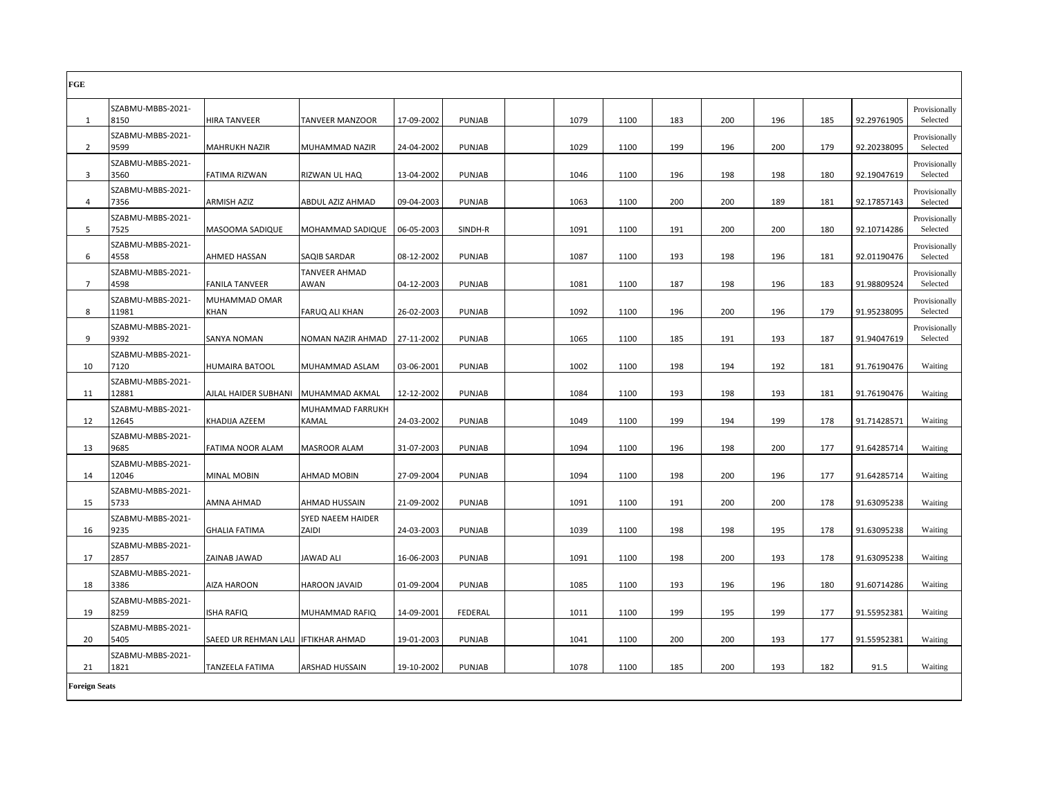| FGE                  |                            |                                     |                                   |            |               |      |      |     |     |     |     |             |                           |
|----------------------|----------------------------|-------------------------------------|-----------------------------------|------------|---------------|------|------|-----|-----|-----|-----|-------------|---------------------------|
| 1                    | SZABMU-MBBS-2021-<br>8150  | HIRA TANVEER                        | <b>TANVEER MANZOOR</b>            | 17-09-2002 | PUNJAB        | 1079 | 1100 | 183 | 200 | 196 | 185 | 92.29761905 | Provisionally<br>Selected |
| 2                    | SZABMU-MBBS-2021-<br>9599  | <b>MAHRUKH NAZIR</b>                | MUHAMMAD NAZIR                    | 24-04-2002 | PUNJAB        | 1029 | 1100 | 199 | 196 | 200 | 179 | 92.20238095 | Provisionally<br>Selected |
| 3                    | SZABMU-MBBS-2021-<br>3560  | <b>FATIMA RIZWAN</b>                | RIZWAN UL HAQ                     | 13-04-2002 | PUNJAB        | 1046 | 1100 | 196 | 198 | 198 | 180 | 92.19047619 | Provisionally<br>Selected |
| 4                    | SZABMU-MBBS-2021-<br>7356  | <b>ARMISH AZIZ</b>                  | ABDUL AZIZ AHMAD                  | 09-04-2003 | PUNJAB        | 1063 | 1100 | 200 | 200 | 189 | 181 | 92.17857143 | Provisionally<br>Selected |
| 5                    | SZABMU-MBBS-2021-<br>7525  | MASOOMA SADIQUE                     | MOHAMMAD SADIQUE                  | 06-05-2003 | SINDH-R       | 1091 | 1100 | 191 | 200 | 200 | 180 | 92.10714286 | Provisionally<br>Selected |
| 6                    | SZABMU-MBBS-2021-<br>4558  | AHMED HASSAN                        | <b>SAQIB SARDAR</b>               | 08-12-2002 | PUNJAB        | 1087 | 1100 | 193 | 198 | 196 | 181 | 92.01190476 | Provisionally<br>Selected |
| $\overline{7}$       | SZABMU-MBBS-2021-<br>4598  | <b>FANILA TANVEER</b>               | <b>TANVEER AHMAD</b><br>AWAN      | 04-12-2003 | PUNJAB        | 1081 | 1100 | 187 | 198 | 196 | 183 | 91.98809524 | Provisionally<br>Selected |
| 8                    | SZABMU-MBBS-2021-<br>11981 | MUHAMMAD OMAR<br>KHAN               | <b>FARUQ ALI KHAN</b>             | 26-02-2003 | PUNJAB        | 1092 | 1100 | 196 | 200 | 196 | 179 | 91.95238095 | Provisionally<br>Selected |
| 9                    | SZABMU-MBBS-2021-<br>9392  | <b>SANYA NOMAN</b>                  | NOMAN NAZIR AHMAD                 | 27-11-2002 | PUNJAB        | 1065 | 1100 | 185 | 191 | 193 | 187 | 91.94047619 | Provisionally<br>Selected |
| 10                   | SZABMU-MBBS-2021-<br>7120  | <b>HUMAIRA BATOOL</b>               | MUHAMMAD ASLAM                    | 03-06-2001 | PUNJAB        | 1002 | 1100 | 198 | 194 | 192 | 181 | 91.76190476 | Waiting                   |
| 11                   | SZABMU-MBBS-2021-<br>12881 | AJLAL HAIDER SUBHANI                | MUHAMMAD AKMAL                    | 12-12-2002 | <b>PUNJAB</b> | 1084 | 1100 | 193 | 198 | 193 | 181 | 91.76190476 | Waiting                   |
| 12                   | SZABMU-MBBS-2021-<br>12645 | KHADIJA AZEEM                       | MUHAMMAD FARRUKH<br>KAMAL         | 24-03-2002 | <b>PUNJAB</b> | 1049 | 1100 | 199 | 194 | 199 | 178 | 91.71428571 | Waiting                   |
| 13                   | SZABMU-MBBS-2021-<br>9685  | FATIMA NOOR ALAM                    | <b>MASROOR ALAM</b>               | 31-07-2003 | PUNJAB        | 1094 | 1100 | 196 | 198 | 200 | 177 | 91.64285714 | Waiting                   |
| 14                   | SZABMU-MBBS-2021-<br>12046 | <b>MINAL MOBIN</b>                  | AHMAD MOBIN                       | 27-09-2004 | PUNJAB        | 1094 | 1100 | 198 | 200 | 196 | 177 | 91.64285714 | Waiting                   |
| 15                   | SZABMU-MBBS-2021-<br>5733  | AMNA AHMAD                          | AHMAD HUSSAIN                     | 21-09-2002 | PUNJAB        | 1091 | 1100 | 191 | 200 | 200 | 178 | 91.63095238 | Waiting                   |
| 16                   | SZABMU-MBBS-2021-<br>9235  | <b>GHALIA FATIMA</b>                | <b>SYED NAEEM HAIDER</b><br>ZAIDI | 24-03-2003 | PUNJAB        | 1039 | 1100 | 198 | 198 | 195 | 178 | 91.63095238 | Waiting                   |
| 17                   | SZABMU-MBBS-2021-<br>2857  | ZAINAB JAWAD                        | <b>JAWAD ALI</b>                  | 16-06-2003 | PUNJAB        | 1091 | 1100 | 198 | 200 | 193 | 178 | 91.63095238 | Waiting                   |
| 18                   | SZABMU-MBBS-2021-<br>3386  | <b>AIZA HAROON</b>                  | <b>HAROON JAVAID</b>              | 01-09-2004 | PUNJAB        | 1085 | 1100 | 193 | 196 | 196 | 180 | 91.60714286 | Waiting                   |
| 19                   | SZABMU-MBBS-2021-<br>8259  | <b>ISHA RAFIQ</b>                   | MUHAMMAD RAFIQ                    | 14-09-2001 | FEDERAL       | 1011 | 1100 | 199 | 195 | 199 | 177 | 91.55952381 | Waiting                   |
| 20                   | SZABMU-MBBS-2021-<br>5405  | SAEED UR REHMAN LALI IFTIKHAR AHMAD |                                   | 19-01-2003 | PUNJAB        | 1041 | 1100 | 200 | 200 | 193 | 177 | 91.55952381 | Waiting                   |
| 21                   | SZABMU-MBBS-2021-<br>1821  | <b>TANZEELA FATIMA</b>              | <b>ARSHAD HUSSAIN</b>             | 19-10-2002 | PUNJAB        | 1078 | 1100 | 185 | 200 | 193 | 182 | 91.5        | Waiting                   |
| <b>Foreign Seats</b> |                            |                                     |                                   |            |               |      |      |     |     |     |     |             |                           |